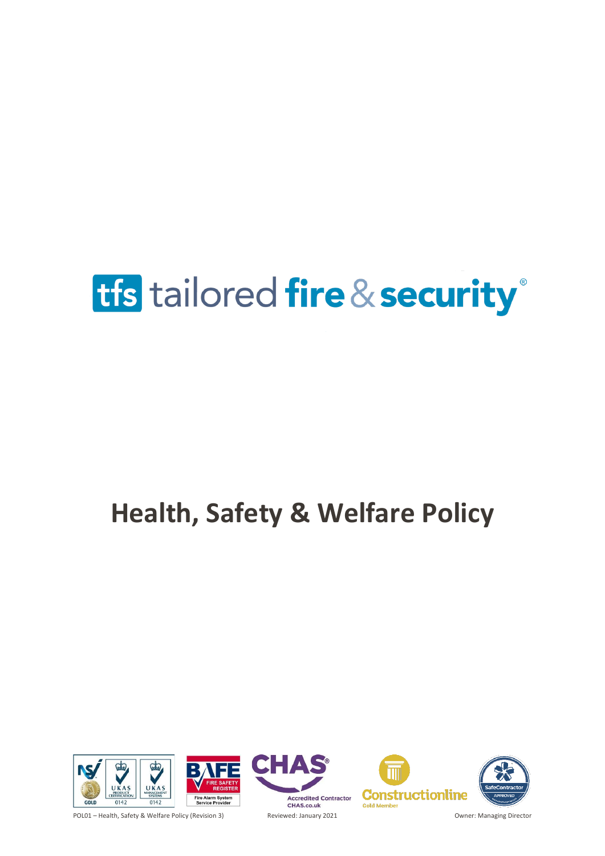## **Health, Safety & Welfare Policy**







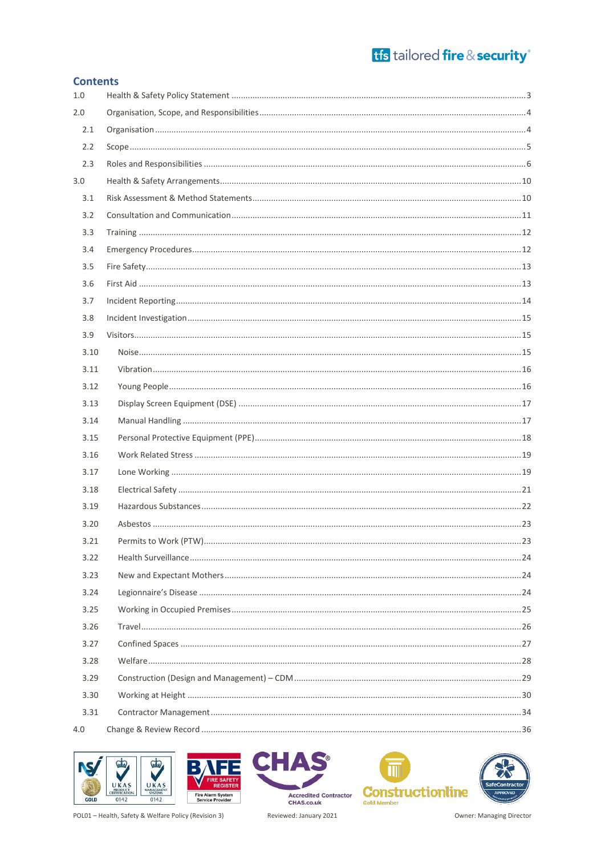### tfs tailored fire & security<sup>®</sup>

| <b>Contents</b> |  |  |  |  |  |  |  |
|-----------------|--|--|--|--|--|--|--|
| 1.0             |  |  |  |  |  |  |  |
| 2.0             |  |  |  |  |  |  |  |
| 2.1             |  |  |  |  |  |  |  |
| 2.2             |  |  |  |  |  |  |  |
| 2.3             |  |  |  |  |  |  |  |
| 3.0             |  |  |  |  |  |  |  |
| 3.1             |  |  |  |  |  |  |  |
| 3.2             |  |  |  |  |  |  |  |
| 3.3             |  |  |  |  |  |  |  |
| 3.4             |  |  |  |  |  |  |  |
| 3.5             |  |  |  |  |  |  |  |
| 3.6             |  |  |  |  |  |  |  |
| 3.7             |  |  |  |  |  |  |  |
| 3.8             |  |  |  |  |  |  |  |
| 3.9             |  |  |  |  |  |  |  |
| 3.10            |  |  |  |  |  |  |  |
| 3.11            |  |  |  |  |  |  |  |
| 3.12            |  |  |  |  |  |  |  |
| 3.13            |  |  |  |  |  |  |  |
| 3.14            |  |  |  |  |  |  |  |
| 3.15            |  |  |  |  |  |  |  |
| 3.16            |  |  |  |  |  |  |  |
| 3.17            |  |  |  |  |  |  |  |
| 3.18            |  |  |  |  |  |  |  |
| 3.19            |  |  |  |  |  |  |  |
| 3.20            |  |  |  |  |  |  |  |
| 3.21            |  |  |  |  |  |  |  |
| 3.22            |  |  |  |  |  |  |  |
| 3.23            |  |  |  |  |  |  |  |
| 3.24            |  |  |  |  |  |  |  |
| 3.25            |  |  |  |  |  |  |  |
| 3.26            |  |  |  |  |  |  |  |
| 3.27            |  |  |  |  |  |  |  |
| 3.28            |  |  |  |  |  |  |  |
| 3.29            |  |  |  |  |  |  |  |
| 3.30            |  |  |  |  |  |  |  |
| 3.31            |  |  |  |  |  |  |  |
| 4.0             |  |  |  |  |  |  |  |





Accredited Contractor<br>CHAS.co.uk Reviewed: January 2021





POL01 - Health, Safety & Welfare Policy (Revision 3)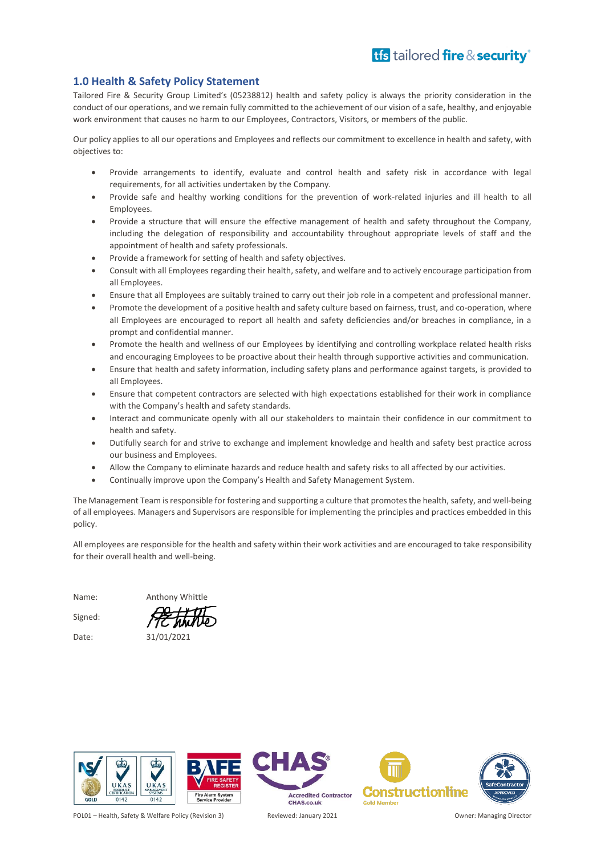### <span id="page-2-0"></span>**1.0 Health & Safety Policy Statement**

Tailored Fire & Security Group Limited's (05238812) health and safety policy is always the priority consideration in the conduct of our operations, and we remain fully committed to the achievement of our vision of a safe, healthy, and enjoyable work environment that causes no harm to our Employees, Contractors, Visitors, or members of the public.

Our policy applies to all our operations and Employees and reflects our commitment to excellence in health and safety, with objectives to:

- Provide arrangements to identify, evaluate and control health and safety risk in accordance with legal requirements, for all activities undertaken by the Company.
- Provide safe and healthy working conditions for the prevention of work-related injuries and ill health to all **Employees**
- Provide a structure that will ensure the effective management of health and safety throughout the Company, including the delegation of responsibility and accountability throughout appropriate levels of staff and the appointment of health and safety professionals.
- Provide a framework for setting of health and safety objectives.
- Consult with all Employees regarding their health, safety, and welfare and to actively encourage participation from all Employees.
- Ensure that all Employees are suitably trained to carry out their job role in a competent and professional manner.
- Promote the development of a positive health and safety culture based on fairness, trust, and co-operation, where all Employees are encouraged to report all health and safety deficiencies and/or breaches in compliance, in a prompt and confidential manner.
- Promote the health and wellness of our Employees by identifying and controlling workplace related health risks and encouraging Employees to be proactive about their health through supportive activities and communication.
- Ensure that health and safety information, including safety plans and performance against targets, is provided to all Employees.
- Ensure that competent contractors are selected with high expectations established for their work in compliance with the Company's health and safety standards.
- Interact and communicate openly with all our stakeholders to maintain their confidence in our commitment to health and safety.
- Dutifully search for and strive to exchange and implement knowledge and health and safety best practice across our business and Employees.
- Allow the Company to eliminate hazards and reduce health and safety risks to all affected by our activities.
- Continually improve upon the Company's Health and Safety Management System.

The Management Team is responsible for fostering and supporting a culture that promotes the health, safety, and well-being of all employees. Managers and Supervisors are responsible for implementing the principles and practices embedded in this policy.

All employees are responsible for the health and safety within their work activities and are encouraged to take responsibility for their overall health and well-being.

Name: Anthony Whittle Signed:

Date: 31/01/2021

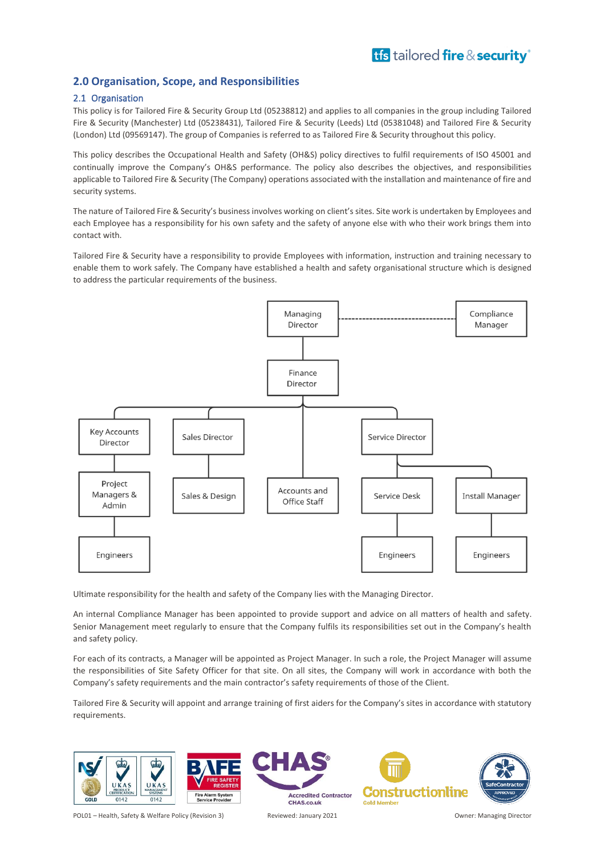### <span id="page-3-0"></span>**2.0 Organisation, Scope, and Responsibilities**

### <span id="page-3-1"></span>2.1 Organisation

This policy is for Tailored Fire & Security Group Ltd (05238812) and applies to all companies in the group including Tailored Fire & Security (Manchester) Ltd (05238431), Tailored Fire & Security (Leeds) Ltd (05381048) and Tailored Fire & Security (London) Ltd (09569147). The group of Companies is referred to as Tailored Fire & Security throughout this policy.

This policy describes the Occupational Health and Safety (OH&S) policy directives to fulfil requirements of ISO 45001 and continually improve the Company's OH&S performance. The policy also describes the objectives, and responsibilities applicable to Tailored Fire & Security (The Company) operations associated with the installation and maintenance of fire and security systems.

The nature of Tailored Fire & Security's business involves working on client's sites. Site work is undertaken by Employees and each Employee has a responsibility for his own safety and the safety of anyone else with who their work brings them into contact with.

Tailored Fire & Security have a responsibility to provide Employees with information, instruction and training necessary to enable them to work safely. The Company have established a health and safety organisational structure which is designed to address the particular requirements of the business.



Ultimate responsibility for the health and safety of the Company lies with the Managing Director.

An internal Compliance Manager has been appointed to provide support and advice on all matters of health and safety. Senior Management meet regularly to ensure that the Company fulfils its responsibilities set out in the Company's health and safety policy.

For each of its contracts, a Manager will be appointed as Project Manager. In such a role, the Project Manager will assume the responsibilities of Site Safety Officer for that site. On all sites, the Company will work in accordance with both the Company's safety requirements and the main contractor's safety requirements of those of the Client.

Tailored Fire & Security will appoint and arrange training of first aiders for the Company's sites in accordance with statutory requirements.

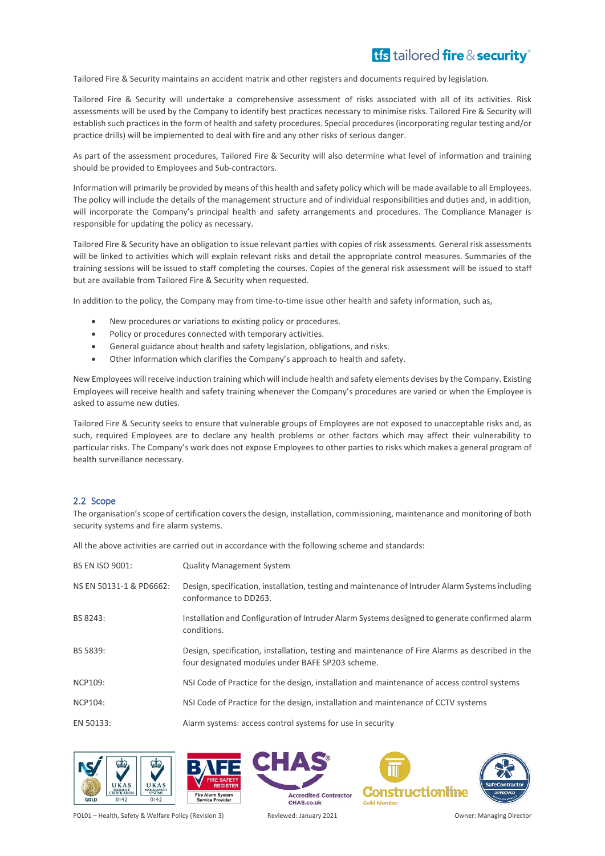Tailored Fire & Security maintains an accident matrix and other registers and documents required by legislation.

Tailored Fire & Security will undertake a comprehensive assessment of risks associated with all of its activities. Risk assessments will be used by the Company to identify best practices necessary to minimise risks. Tailored Fire & Security will establish such practices in the form of health and safety procedures. Special procedures (incorporating regular testing and/or practice drills) will be implemented to deal with fire and any other risks of serious danger.

As part of the assessment procedures, Tailored Fire & Security will also determine what level of information and training should be provided to Employees and Sub-contractors.

Information will primarily be provided by means of this health and safety policy which will be made available to all Employees. The policy will include the details of the management structure and of individual responsibilities and duties and, in addition, will incorporate the Company's principal health and safety arrangements and procedures. The Compliance Manager is responsible for updating the policy as necessary.

Tailored Fire & Security have an obligation to issue relevant parties with copies of risk assessments. General risk assessments will be linked to activities which will explain relevant risks and detail the appropriate control measures. Summaries of the training sessions will be issued to staff completing the courses. Copies of the general risk assessment will be issued to staff but are available from Tailored Fire & Security when requested.

In addition to the policy, the Company may from time-to-time issue other health and safety information, such as,

- New procedures or variations to existing policy or procedures.
- Policy or procedures connected with temporary activities.
- General guidance about health and safety legislation, obligations, and risks.
- Other information which clarifies the Company's approach to health and safety.

New Employees will receive induction training which will include health and safety elements devises by the Company. Existing Employees will receive health and safety training whenever the Company's procedures are varied or when the Employee is asked to assume new duties.

Tailored Fire & Security seeks to ensure that vulnerable groups of Employees are not exposed to unacceptable risks and, as such, required Employees are to declare any health problems or other factors which may affect their vulnerability to particular risks. The Company's work does not expose Employees to other parties to risks which makes a general program of health surveillance necessary.

### <span id="page-4-0"></span>2.2 Scope

The organisation's scope of certification covers the design, installation, commissioning, maintenance and monitoring of both security systems and fire alarm systems.

All the above activities are carried out in accordance with the following scheme and standards:

| <b>BS EN ISO 9001:</b>  | <b>Quality Management System</b>                                                                                                                    |
|-------------------------|-----------------------------------------------------------------------------------------------------------------------------------------------------|
| NS EN 50131-1 & PD6662: | Design, specification, installation, testing and maintenance of Intruder Alarm Systems including<br>conformance to DD263.                           |
| BS 8243:                | Installation and Configuration of Intruder Alarm Systems designed to generate confirmed alarm<br>conditions.                                        |
| BS 5839:                | Design, specification, installation, testing and maintenance of Fire Alarms as described in the<br>four designated modules under BAFE SP203 scheme. |
| <b>NCP109:</b>          | NSI Code of Practice for the design, installation and maintenance of access control systems                                                         |
| <b>NCP104:</b>          | NSI Code of Practice for the design, installation and maintenance of CCTV systems                                                                   |
| EN 50133:               | Alarm systems: access control systems for use in security                                                                                           |





**Constructionline Gold Memb** 

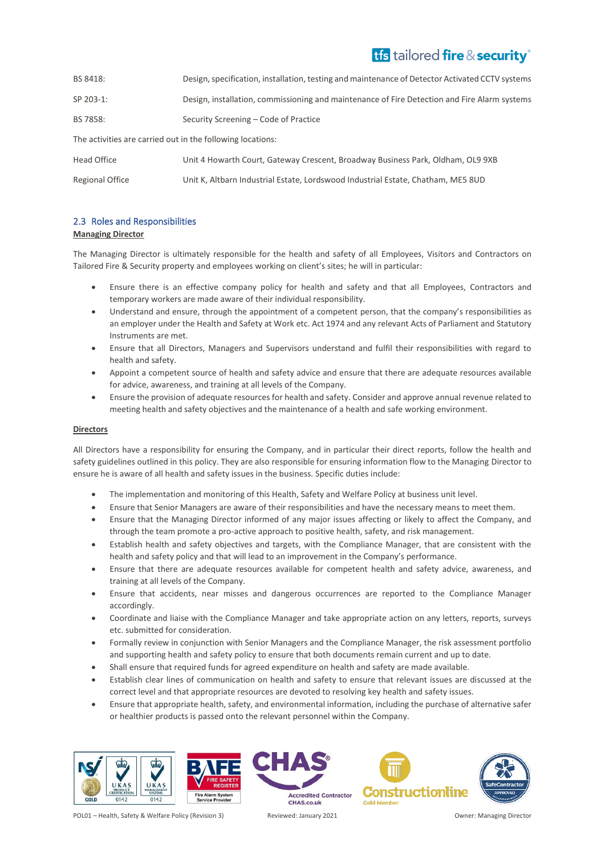| BS 8418:                                                   | Design, specification, installation, testing and maintenance of Detector Activated CCTV systems |  |  |  |
|------------------------------------------------------------|-------------------------------------------------------------------------------------------------|--|--|--|
| SP 203-1:                                                  | Design, installation, commissioning and maintenance of Fire Detection and Fire Alarm systems    |  |  |  |
| BS 7858:                                                   | Security Screening - Code of Practice                                                           |  |  |  |
| The activities are carried out in the following locations: |                                                                                                 |  |  |  |
| Head Office                                                | Unit 4 Howarth Court, Gateway Crescent, Broadway Business Park, Oldham, OL9 9XB                 |  |  |  |
| Regional Office                                            | Unit K, Altbarn Industrial Estate, Lordswood Industrial Estate, Chatham, ME5 8UD                |  |  |  |

### <span id="page-5-0"></span>2.3 Roles and Responsibilities

### **Managing Director**

The Managing Director is ultimately responsible for the health and safety of all Employees, Visitors and Contractors on Tailored Fire & Security property and employees working on client's sites; he will in particular:

- Ensure there is an effective company policy for health and safety and that all Employees, Contractors and temporary workers are made aware of their individual responsibility.
- Understand and ensure, through the appointment of a competent person, that the company's responsibilities as an employer under the Health and Safety at Work etc. Act 1974 and any relevant Acts of Parliament and Statutory Instruments are met.
- Ensure that all Directors, Managers and Supervisors understand and fulfil their responsibilities with regard to health and safety.
- Appoint a competent source of health and safety advice and ensure that there are adequate resources available for advice, awareness, and training at all levels of the Company.
- Ensure the provision of adequate resources for health and safety. Consider and approve annual revenue related to meeting health and safety objectives and the maintenance of a health and safe working environment.

### **Directors**

All Directors have a responsibility for ensuring the Company, and in particular their direct reports, follow the health and safety guidelines outlined in this policy. They are also responsible for ensuring information flow to the Managing Director to ensure he is aware of all health and safety issues in the business. Specific duties include:

- The implementation and monitoring of this Health, Safety and Welfare Policy at business unit level.
- Ensure that Senior Managers are aware of their responsibilities and have the necessary means to meet them.
- Ensure that the Managing Director informed of any major issues affecting or likely to affect the Company, and through the team promote a pro-active approach to positive health, safety, and risk management.
- Establish health and safety objectives and targets, with the Compliance Manager, that are consistent with the health and safety policy and that will lead to an improvement in the Company's performance.
- Ensure that there are adequate resources available for competent health and safety advice, awareness, and training at all levels of the Company.
- Ensure that accidents, near misses and dangerous occurrences are reported to the Compliance Manager accordingly.
- Coordinate and liaise with the Compliance Manager and take appropriate action on any letters, reports, surveys etc. submitted for consideration.
- Formally review in conjunction with Senior Managers and the Compliance Manager, the risk assessment portfolio and supporting health and safety policy to ensure that both documents remain current and up to date.
- Shall ensure that required funds for agreed expenditure on health and safety are made available.
- Establish clear lines of communication on health and safety to ensure that relevant issues are discussed at the correct level and that appropriate resources are devoted to resolving key health and safety issues.
- Ensure that appropriate health, safety, and environmental information, including the purchase of alternative safer or healthier products is passed onto the relevant personnel within the Company.





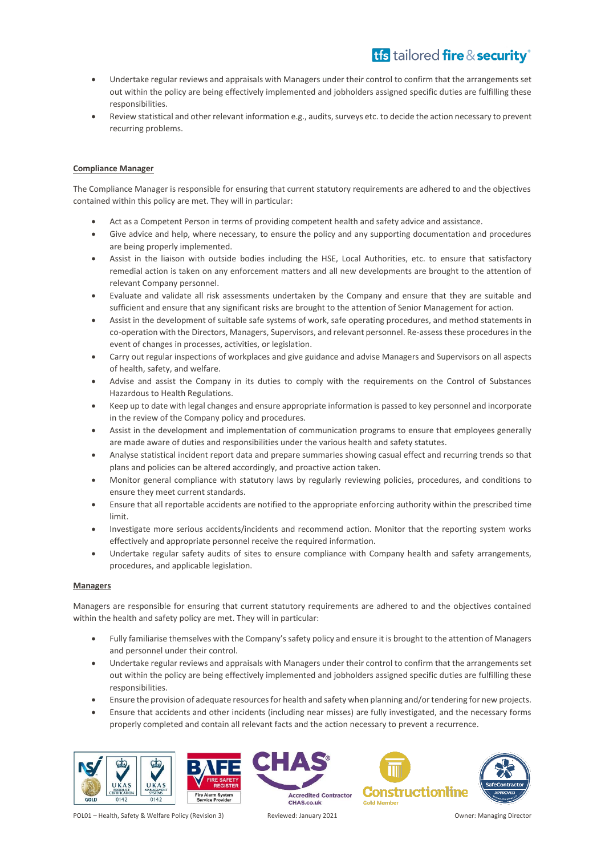- Undertake regular reviews and appraisals with Managers under their control to confirm that the arrangements set out within the policy are being effectively implemented and jobholders assigned specific duties are fulfilling these responsibilities.
- Review statistical and other relevant information e.g., audits, surveys etc. to decide the action necessary to prevent recurring problems.

### **Compliance Manager**

The Compliance Manager is responsible for ensuring that current statutory requirements are adhered to and the objectives contained within this policy are met. They will in particular:

- Act as a Competent Person in terms of providing competent health and safety advice and assistance.
- Give advice and help, where necessary, to ensure the policy and any supporting documentation and procedures are being properly implemented.
- Assist in the liaison with outside bodies including the HSE, Local Authorities, etc. to ensure that satisfactory remedial action is taken on any enforcement matters and all new developments are brought to the attention of relevant Company personnel.
- Evaluate and validate all risk assessments undertaken by the Company and ensure that they are suitable and sufficient and ensure that any significant risks are brought to the attention of Senior Management for action.
- Assist in the development of suitable safe systems of work, safe operating procedures, and method statements in co-operation with the Directors, Managers, Supervisors, and relevant personnel. Re-assess these procedures in the event of changes in processes, activities, or legislation.
- Carry out regular inspections of workplaces and give guidance and advise Managers and Supervisors on all aspects of health, safety, and welfare.
- Advise and assist the Company in its duties to comply with the requirements on the Control of Substances Hazardous to Health Regulations.
- Keep up to date with legal changes and ensure appropriate information is passed to key personnel and incorporate in the review of the Company policy and procedures.
- Assist in the development and implementation of communication programs to ensure that employees generally are made aware of duties and responsibilities under the various health and safety statutes.
- Analyse statistical incident report data and prepare summaries showing casual effect and recurring trends so that plans and policies can be altered accordingly, and proactive action taken.
- Monitor general compliance with statutory laws by regularly reviewing policies, procedures, and conditions to ensure they meet current standards.
- Ensure that all reportable accidents are notified to the appropriate enforcing authority within the prescribed time limit.
- Investigate more serious accidents/incidents and recommend action. Monitor that the reporting system works effectively and appropriate personnel receive the required information.
- Undertake regular safety audits of sites to ensure compliance with Company health and safety arrangements, procedures, and applicable legislation.

### **Managers**

Managers are responsible for ensuring that current statutory requirements are adhered to and the objectives contained within the health and safety policy are met. They will in particular:

- Fully familiarise themselves with the Company's safety policy and ensure it is brought to the attention of Managers and personnel under their control.
- Undertake regular reviews and appraisals with Managers under their control to confirm that the arrangements set out within the policy are being effectively implemented and jobholders assigned specific duties are fulfilling these responsibilities.
- Ensure the provision of adequate resources for health and safety when planning and/or tendering for new projects.
- Ensure that accidents and other incidents (including near misses) are fully investigated, and the necessary forms properly completed and contain all relevant facts and the action necessary to prevent a recurrence.





**Accredited Contractor** CHAS.co.uk



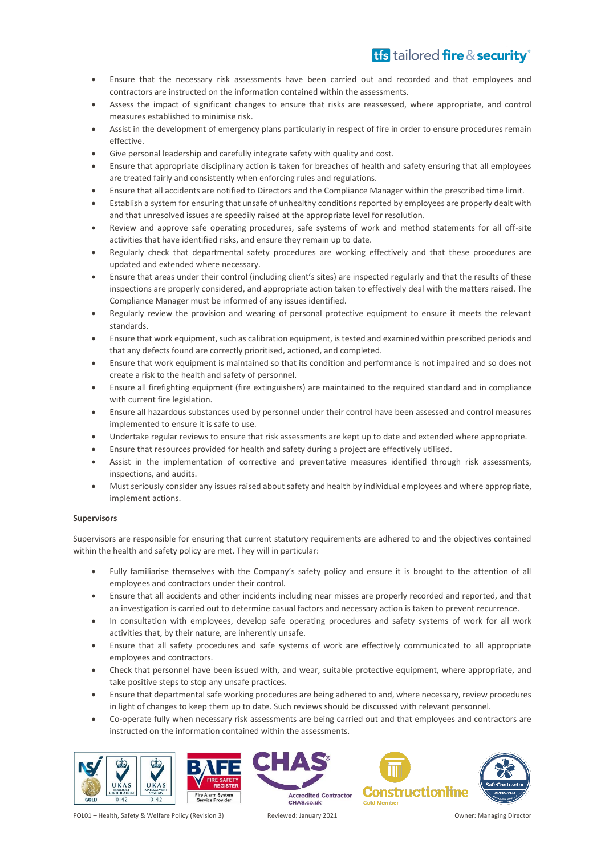- Ensure that the necessary risk assessments have been carried out and recorded and that employees and contractors are instructed on the information contained within the assessments.
- Assess the impact of significant changes to ensure that risks are reassessed, where appropriate, and control measures established to minimise risk.
- Assist in the development of emergency plans particularly in respect of fire in order to ensure procedures remain effective.
- Give personal leadership and carefully integrate safety with quality and cost.
- Ensure that appropriate disciplinary action is taken for breaches of health and safety ensuring that all employees are treated fairly and consistently when enforcing rules and regulations.
- Ensure that all accidents are notified to Directors and the Compliance Manager within the prescribed time limit.
- Establish a system for ensuring that unsafe of unhealthy conditions reported by employees are properly dealt with and that unresolved issues are speedily raised at the appropriate level for resolution.
- Review and approve safe operating procedures, safe systems of work and method statements for all off-site activities that have identified risks, and ensure they remain up to date.
- Regularly check that departmental safety procedures are working effectively and that these procedures are updated and extended where necessary.
- Ensure that areas under their control (including client's sites) are inspected regularly and that the results of these inspections are properly considered, and appropriate action taken to effectively deal with the matters raised. The Compliance Manager must be informed of any issues identified.
- Regularly review the provision and wearing of personal protective equipment to ensure it meets the relevant standards.
- Ensure that work equipment, such as calibration equipment, is tested and examined within prescribed periods and that any defects found are correctly prioritised, actioned, and completed.
- Ensure that work equipment is maintained so that its condition and performance is not impaired and so does not create a risk to the health and safety of personnel.
- Ensure all firefighting equipment (fire extinguishers) are maintained to the required standard and in compliance with current fire legislation.
- Ensure all hazardous substances used by personnel under their control have been assessed and control measures implemented to ensure it is safe to use.
- Undertake regular reviews to ensure that risk assessments are kept up to date and extended where appropriate.
- Ensure that resources provided for health and safety during a project are effectively utilised.
- Assist in the implementation of corrective and preventative measures identified through risk assessments, inspections, and audits.
- Must seriously consider any issues raised about safety and health by individual employees and where appropriate, implement actions.

### **Supervisors**

Supervisors are responsible for ensuring that current statutory requirements are adhered to and the objectives contained within the health and safety policy are met. They will in particular:

- Fully familiarise themselves with the Company's safety policy and ensure it is brought to the attention of all employees and contractors under their control.
- Ensure that all accidents and other incidents including near misses are properly recorded and reported, and that an investigation is carried out to determine casual factors and necessary action is taken to prevent recurrence.
- In consultation with employees, develop safe operating procedures and safety systems of work for all work activities that, by their nature, are inherently unsafe.
- Ensure that all safety procedures and safe systems of work are effectively communicated to all appropriate employees and contractors.
- Check that personnel have been issued with, and wear, suitable protective equipment, where appropriate, and take positive steps to stop any unsafe practices.
- Ensure that departmental safe working procedures are being adhered to and, where necessary, review procedures in light of changes to keep them up to date. Such reviews should be discussed with relevant personnel.
- Co-operate fully when necessary risk assessments are being carried out and that employees and contractors are instructed on the information contained within the assessments.

**Accredited Contractor** 









CHAS.co.uk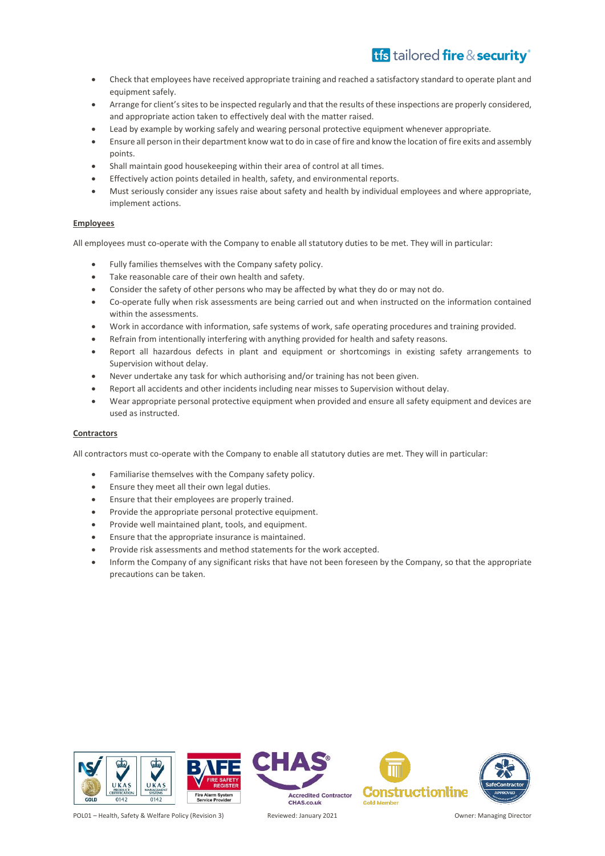- Check that employees have received appropriate training and reached a satisfactory standard to operate plant and equipment safely.
- Arrange for client's sites to be inspected regularly and that the results of these inspections are properly considered, and appropriate action taken to effectively deal with the matter raised.
- Lead by example by working safely and wearing personal protective equipment whenever appropriate.
- Ensure all person in their department know wat to do in case of fire and know the location of fire exits and assembly points.
- Shall maintain good housekeeping within their area of control at all times.
- Effectively action points detailed in health, safety, and environmental reports.
- Must seriously consider any issues raise about safety and health by individual employees and where appropriate, implement actions.

### **Employees**

All employees must co-operate with the Company to enable all statutory duties to be met. They will in particular:

- Fully families themselves with the Company safety policy.
- Take reasonable care of their own health and safety.
- Consider the safety of other persons who may be affected by what they do or may not do.
- Co-operate fully when risk assessments are being carried out and when instructed on the information contained within the assessments.
- Work in accordance with information, safe systems of work, safe operating procedures and training provided.
- Refrain from intentionally interfering with anything provided for health and safety reasons.
- Report all hazardous defects in plant and equipment or shortcomings in existing safety arrangements to Supervision without delay.
- Never undertake any task for which authorising and/or training has not been given.
- Report all accidents and other incidents including near misses to Supervision without delay.
- Wear appropriate personal protective equipment when provided and ensure all safety equipment and devices are used as instructed.

### **Contractors**

All contractors must co-operate with the Company to enable all statutory duties are met. They will in particular:

- Familiarise themselves with the Company safety policy.
- Ensure they meet all their own legal duties.
- Ensure that their employees are properly trained.
- Provide the appropriate personal protective equipment.
- Provide well maintained plant, tools, and equipment.
- Ensure that the appropriate insurance is maintained.
- Provide risk assessments and method statements for the work accepted.
- Inform the Company of any significant risks that have not been foreseen by the Company, so that the appropriate precautions can be taken.

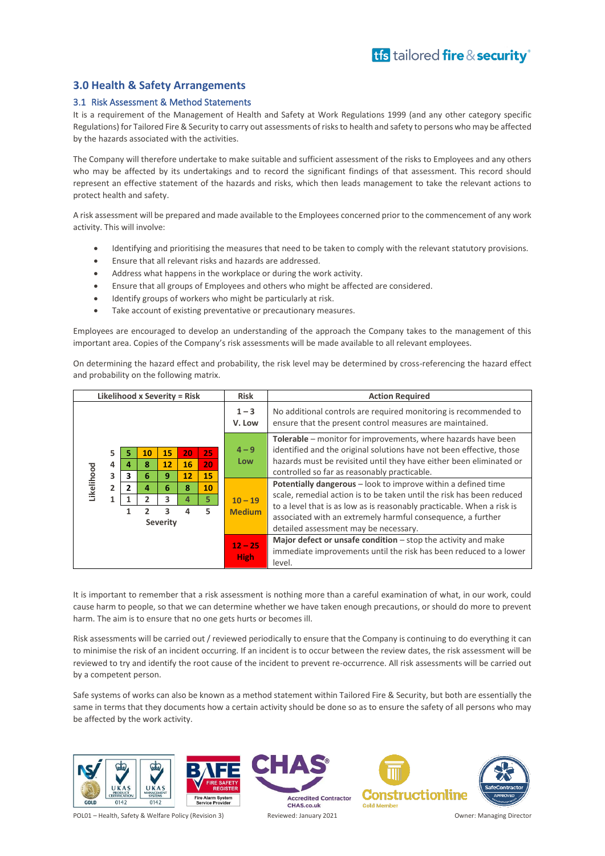### <span id="page-9-0"></span>**3.0 Health & Safety Arrangements**

### <span id="page-9-1"></span>3.1 Risk Assessment & Method Statements

It is a requirement of the Management of Health and Safety at Work Regulations 1999 (and any other category specific Regulations) for Tailored Fire & Security to carry out assessments of risks to health and safety to persons who may be affected by the hazards associated with the activities.

The Company will therefore undertake to make suitable and sufficient assessment of the risks to Employees and any others who may be affected by its undertakings and to record the significant findings of that assessment. This record should represent an effective statement of the hazards and risks, which then leads management to take the relevant actions to protect health and safety.

A risk assessment will be prepared and made available to the Employees concerned prior to the commencement of any work activity. This will involve:

- Identifying and prioritising the measures that need to be taken to comply with the relevant statutory provisions.
- Ensure that all relevant risks and hazards are addressed.
- Address what happens in the workplace or during the work activity.
- Ensure that all groups of Employees and others who might be affected are considered.
- Identify groups of workers who might be particularly at risk.
- Take account of existing preventative or precautionary measures.

Employees are encouraged to develop an understanding of the approach the Company takes to the management of this important area. Copies of the Company's risk assessments will be made available to all relevant employees.

On determining the hazard effect and probability, the risk level may be determined by cross-referencing the hazard effect and probability on the following matrix.

| Likelihood x Severity = Risk                                                                                                                                                                                                                                    |  |                            |                                                                                                                                                                                                                                                                                                                          | <b>Risk</b>       | <b>Action Required</b>                                                                                                       |  |                          |                                                                                                                                                |
|-----------------------------------------------------------------------------------------------------------------------------------------------------------------------------------------------------------------------------------------------------------------|--|----------------------------|--------------------------------------------------------------------------------------------------------------------------------------------------------------------------------------------------------------------------------------------------------------------------------------------------------------------------|-------------------|------------------------------------------------------------------------------------------------------------------------------|--|--------------------------|------------------------------------------------------------------------------------------------------------------------------------------------|
|                                                                                                                                                                                                                                                                 |  |                            |                                                                                                                                                                                                                                                                                                                          | $1 - 3$<br>V. Low | No additional controls are required monitoring is recommended to<br>ensure that the present control measures are maintained. |  |                          |                                                                                                                                                |
| 5<br>25<br>10<br>15<br>20<br>5<br>20<br>8<br>16<br>12<br>4<br>4<br>Likelihood<br>3<br>15<br>6<br>12<br>3<br>9<br>$\overline{2}$<br>$\overline{\phantom{a}}$<br>10<br>6<br>8<br>4<br>5.<br>$\overline{2}$<br>3<br>1<br>4<br>5.<br>3<br>っ<br>4<br><b>Severity</b> |  | $4 - 9$<br>Low             | Tolerable – monitor for improvements, where hazards have been<br>identified and the original solutions have not been effective, those<br>hazards must be revisited until they have either been eliminated or<br>controlled so far as reasonably practicable.                                                             |                   |                                                                                                                              |  |                          |                                                                                                                                                |
|                                                                                                                                                                                                                                                                 |  | $10 - 19$<br><b>Medium</b> | Potentially dangerous - look to improve within a defined time<br>scale, remedial action is to be taken until the risk has been reduced<br>to a level that is as low as is reasonably practicable. When a risk is<br>associated with an extremely harmful consequence, a further<br>detailed assessment may be necessary. |                   |                                                                                                                              |  |                          |                                                                                                                                                |
|                                                                                                                                                                                                                                                                 |  |                            |                                                                                                                                                                                                                                                                                                                          |                   |                                                                                                                              |  | $12 - 25$<br><b>High</b> | Major defect or unsafe condition $-$ stop the activity and make<br>immediate improvements until the risk has been reduced to a lower<br>level. |

It is important to remember that a risk assessment is nothing more than a careful examination of what, in our work, could cause harm to people, so that we can determine whether we have taken enough precautions, or should do more to prevent harm. The aim is to ensure that no one gets hurts or becomes ill.

Risk assessments will be carried out / reviewed periodically to ensure that the Company is continuing to do everything it can to minimise the risk of an incident occurring. If an incident is to occur between the review dates, the risk assessment will be reviewed to try and identify the root cause of the incident to prevent re-occurrence. All risk assessments will be carried out by a competent person.

Safe systems of works can also be known as a method statement within Tailored Fire & Security, but both are essentially the same in terms that they documents how a certain activity should be done so as to ensure the safety of all persons who may be affected by the work activity.



POL01 – Health, Safety & Welfare Policy (Revision 3) Reviewed: January 2021 Owner: Managing Director

**Accredited Contractor** CHAS.co.uk

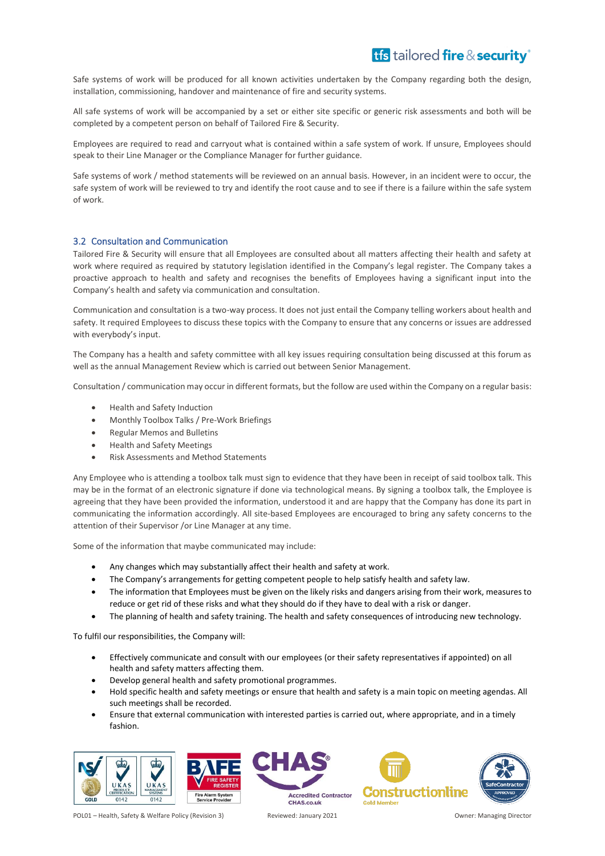Safe systems of work will be produced for all known activities undertaken by the Company regarding both the design, installation, commissioning, handover and maintenance of fire and security systems.

All safe systems of work will be accompanied by a set or either site specific or generic risk assessments and both will be completed by a competent person on behalf of Tailored Fire & Security.

Employees are required to read and carryout what is contained within a safe system of work. If unsure, Employees should speak to their Line Manager or the Compliance Manager for further guidance.

Safe systems of work / method statements will be reviewed on an annual basis. However, in an incident were to occur, the safe system of work will be reviewed to try and identify the root cause and to see if there is a failure within the safe system of work.

### <span id="page-10-0"></span>3.2 Consultation and Communication

Tailored Fire & Security will ensure that all Employees are consulted about all matters affecting their health and safety at work where required as required by statutory legislation identified in the Company's legal register. The Company takes a proactive approach to health and safety and recognises the benefits of Employees having a significant input into the Company's health and safety via communication and consultation.

Communication and consultation is a two-way process. It does not just entail the Company telling workers about health and safety. It required Employees to discuss these topics with the Company to ensure that any concerns or issues are addressed with everybody's input.

The Company has a health and safety committee with all key issues requiring consultation being discussed at this forum as well as the annual Management Review which is carried out between Senior Management.

Consultation / communication may occur in different formats, but the follow are used within the Company on a regular basis:

- Health and Safety Induction
- Monthly Toolbox Talks / Pre-Work Briefings
- Regular Memos and Bulletins
- Health and Safety Meetings
- Risk Assessments and Method Statements

Any Employee who is attending a toolbox talk must sign to evidence that they have been in receipt of said toolbox talk. This may be in the format of an electronic signature if done via technological means. By signing a toolbox talk, the Employee is agreeing that they have been provided the information, understood it and are happy that the Company has done its part in communicating the information accordingly. All site-based Employees are encouraged to bring any safety concerns to the attention of their Supervisor /or Line Manager at any time.

Some of the information that maybe communicated may include:

- Any changes which may substantially affect their health and safety at work.
- The Company's arrangements for getting competent people to help satisfy health and safety law.
- The information that Employees must be given on the likely risks and dangers arising from their work, measures to reduce or get rid of these risks and what they should do if they have to deal with a risk or danger.
- The planning of health and safety training. The health and safety consequences of introducing new technology.

To fulfil our responsibilities, the Company will:

- Effectively communicate and consult with our employees (or their safety representatives if appointed) on all health and safety matters affecting them.
- Develop general health and safety promotional programmes.
- Hold specific health and safety meetings or ensure that health and safety is a main topic on meeting agendas. All such meetings shall be recorded.
- Ensure that external communication with interested parties is carried out, where appropriate, and in a timely fashion.



**Accredited Contractor** 

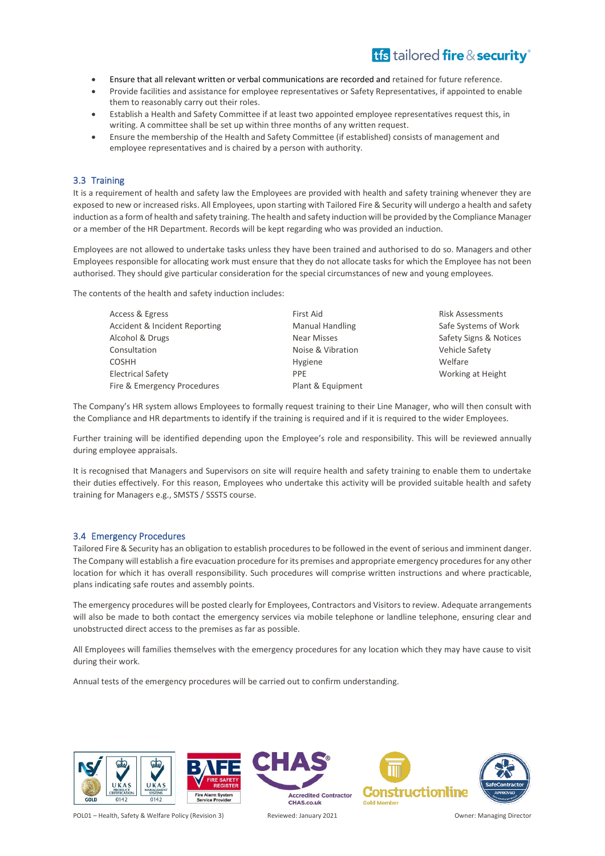- Ensure that all relevant written or verbal communications are recorded and retained for future reference.
- Provide facilities and assistance for employee representatives or Safety Representatives, if appointed to enable them to reasonably carry out their roles.
- Establish a Health and Safety Committee if at least two appointed employee representatives request this, in writing. A committee shall be set up within three months of any written request.
- Ensure the membership of the Health and Safety Committee (if established) consists of management and employee representatives and is chaired by a person with authority.

### <span id="page-11-0"></span>3.3 Training

It is a requirement of health and safety law the Employees are provided with health and safety training whenever they are exposed to new or increased risks. All Employees, upon starting with Tailored Fire & Security will undergo a health and safety induction as a form of health and safety training. The health and safety induction will be provided by the Compliance Manager or a member of the HR Department. Records will be kept regarding who was provided an induction.

Employees are not allowed to undertake tasks unless they have been trained and authorised to do so. Managers and other Employees responsible for allocating work must ensure that they do not allocate tasks for which the Employee has not been authorised. They should give particular consideration for the special circumstances of new and young employees.

The contents of the health and safety induction includes:

| First Aid              | <b>Risk Assessments</b> |
|------------------------|-------------------------|
| <b>Manual Handling</b> | Safe Systems of Work    |
| <b>Near Misses</b>     | Safety Signs & Notices  |
| Noise & Vibration      | Vehicle Safety          |
| Hygiene                | Welfare                 |
| <b>PPF</b>             | Working at Height       |
| Plant & Equipment      |                         |
|                        |                         |

The Company's HR system allows Employees to formally request training to their Line Manager, who will then consult with the Compliance and HR departments to identify if the training is required and if it is required to the wider Employees.

Further training will be identified depending upon the Employee's role and responsibility. This will be reviewed annually during employee appraisals.

It is recognised that Managers and Supervisors on site will require health and safety training to enable them to undertake their duties effectively. For this reason, Employees who undertake this activity will be provided suitable health and safety training for Managers e.g., SMSTS / SSSTS course.

### <span id="page-11-1"></span>3.4 Emergency Procedures

Tailored Fire & Security has an obligation to establish procedures to be followed in the event of serious and imminent danger. The Company will establish a fire evacuation procedure for its premises and appropriate emergency procedures for any other location for which it has overall responsibility. Such procedures will comprise written instructions and where practicable, plans indicating safe routes and assembly points.

The emergency procedures will be posted clearly for Employees, Contractors and Visitors to review. Adequate arrangements will also be made to both contact the emergency services via mobile telephone or landline telephone, ensuring clear and unobstructed direct access to the premises as far as possible.

All Employees will families themselves with the emergency procedures for any location which they may have cause to visit during their work.

Annual tests of the emergency procedures will be carried out to confirm understanding.



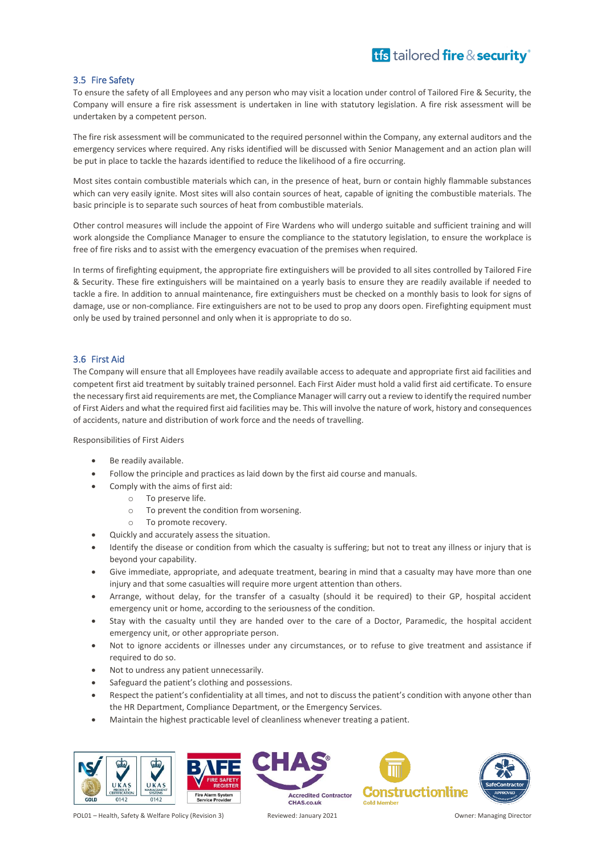### <span id="page-12-0"></span>3.5 Fire Safety

To ensure the safety of all Employees and any person who may visit a location under control of Tailored Fire & Security, the Company will ensure a fire risk assessment is undertaken in line with statutory legislation. A fire risk assessment will be undertaken by a competent person.

The fire risk assessment will be communicated to the required personnel within the Company, any external auditors and the emergency services where required. Any risks identified will be discussed with Senior Management and an action plan will be put in place to tackle the hazards identified to reduce the likelihood of a fire occurring.

Most sites contain combustible materials which can, in the presence of heat, burn or contain highly flammable substances which can very easily ignite. Most sites will also contain sources of heat, capable of igniting the combustible materials. The basic principle is to separate such sources of heat from combustible materials.

Other control measures will include the appoint of Fire Wardens who will undergo suitable and sufficient training and will work alongside the Compliance Manager to ensure the compliance to the statutory legislation, to ensure the workplace is free of fire risks and to assist with the emergency evacuation of the premises when required.

In terms of firefighting equipment, the appropriate fire extinguishers will be provided to all sites controlled by Tailored Fire & Security. These fire extinguishers will be maintained on a yearly basis to ensure they are readily available if needed to tackle a fire. In addition to annual maintenance, fire extinguishers must be checked on a monthly basis to look for signs of damage, use or non-compliance. Fire extinguishers are not to be used to prop any doors open. Firefighting equipment must only be used by trained personnel and only when it is appropriate to do so.

### <span id="page-12-1"></span>3.6 First Aid

The Company will ensure that all Employees have readily available access to adequate and appropriate first aid facilities and competent first aid treatment by suitably trained personnel. Each First Aider must hold a valid first aid certificate. To ensure the necessary first aid requirements are met, the Compliance Manager will carry out a review to identify the required number of First Aiders and what the required first aid facilities may be. This will involve the nature of work, history and consequences of accidents, nature and distribution of work force and the needs of travelling.

Responsibilities of First Aiders

- Be readily available.
- Follow the principle and practices as laid down by the first aid course and manuals.
- Comply with the aims of first aid:
	- o To preserve life.
	- o To prevent the condition from worsening.
	- o To promote recovery.
- Quickly and accurately assess the situation.
- Identify the disease or condition from which the casualty is suffering; but not to treat any illness or injury that is beyond your capability.
- Give immediate, appropriate, and adequate treatment, bearing in mind that a casualty may have more than one injury and that some casualties will require more urgent attention than others.
- Arrange, without delay, for the transfer of a casualty (should it be required) to their GP, hospital accident emergency unit or home, according to the seriousness of the condition.
- Stay with the casualty until they are handed over to the care of a Doctor, Paramedic, the hospital accident emergency unit, or other appropriate person.
- Not to ignore accidents or illnesses under any circumstances, or to refuse to give treatment and assistance if required to do so.
- Not to undress any patient unnecessarily.
- Safeguard the patient's clothing and possessions.
- Respect the patient's confidentiality at all times, and not to discuss the patient's condition with anyone other than the HR Department, Compliance Department, or the Emergency Services.
- Maintain the highest practicable level of cleanliness whenever treating a patient.





**Constructionline Accredited Contractor** 



CHAS.co.uk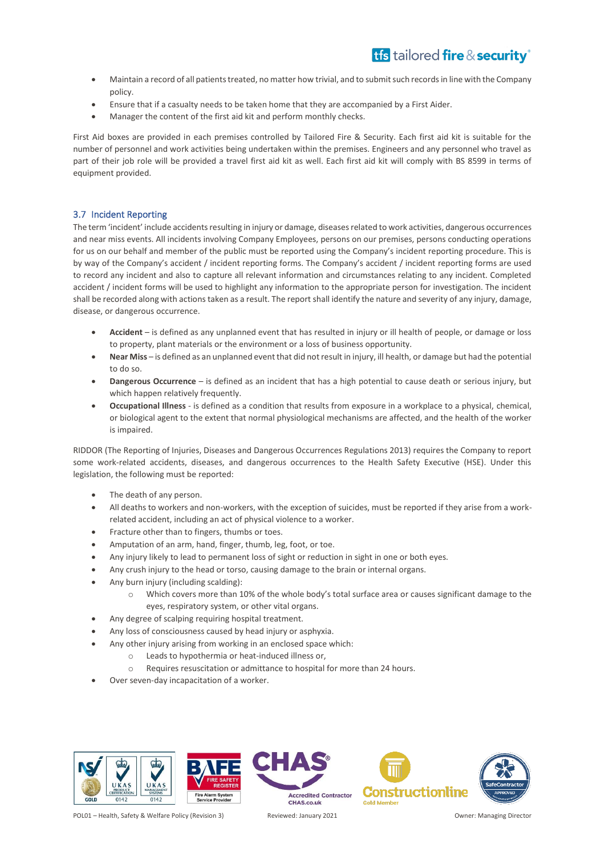- Maintain a record of all patients treated, no matter how trivial, and to submit such records in line with the Company policy.
- Ensure that if a casualty needs to be taken home that they are accompanied by a First Aider.
- Manager the content of the first aid kit and perform monthly checks.

First Aid boxes are provided in each premises controlled by Tailored Fire & Security. Each first aid kit is suitable for the number of personnel and work activities being undertaken within the premises. Engineers and any personnel who travel as part of their job role will be provided a travel first aid kit as well. Each first aid kit will comply with BS 8599 in terms of equipment provided.

### <span id="page-13-0"></span>3.7 Incident Reporting

The term 'incident' include accidents resulting in injury or damage, diseases related to work activities, dangerous occurrences and near miss events. All incidents involving Company Employees, persons on our premises, persons conducting operations for us on our behalf and member of the public must be reported using the Company's incident reporting procedure. This is by way of the Company's accident / incident reporting forms. The Company's accident / incident reporting forms are used to record any incident and also to capture all relevant information and circumstances relating to any incident. Completed accident / incident forms will be used to highlight any information to the appropriate person for investigation. The incident shall be recorded along with actions taken as a result. The report shall identify the nature and severity of any injury, damage, disease, or dangerous occurrence.

- **Accident** is defined as any unplanned event that has resulted in injury or ill health of people, or damage or loss to property, plant materials or the environment or a loss of business opportunity.
- **Near Miss** is defined as an unplanned event that did not result in injury, ill health, or damage but had the potential to do so.
- **Dangerous Occurrence** is defined as an incident that has a high potential to cause death or serious injury, but which happen relatively frequently.
- **Occupational Illness** is defined as a condition that results from exposure in a workplace to a physical, chemical, or biological agent to the extent that normal physiological mechanisms are affected, and the health of the worker is impaired.

RIDDOR (The Reporting of Injuries, Diseases and Dangerous Occurrences Regulations 2013) requires the Company to report some work-related accidents, diseases, and dangerous occurrences to the Health Safety Executive (HSE). Under this legislation, the following must be reported:

- The death of any person.
- All deaths to workers and non-workers, with the exception of suicides, must be reported if they arise from a workrelated accident, including an act of physical violence to a worker.
- Fracture other than to fingers, thumbs or toes.
- Amputation of an arm, hand, finger, thumb, leg, foot, or toe.
- Any injury likely to lead to permanent loss of sight or reduction in sight in one or both eyes.
- Any crush injury to the head or torso, causing damage to the brain or internal organs.
- Any burn injury (including scalding):
	- o Which covers more than 10% of the whole body's total surface area or causes significant damage to the eyes, respiratory system, or other vital organs.
	- Any degree of scalping requiring hospital treatment.
- Any loss of consciousness caused by head injury or asphyxia.
- Any other injury arising from working in an enclosed space which:
	- o Leads to hypothermia or heat-induced illness or,
	- o Requires resuscitation or admittance to hospital for more than 24 hours.
- Over seven-day incapacitation of a worker.



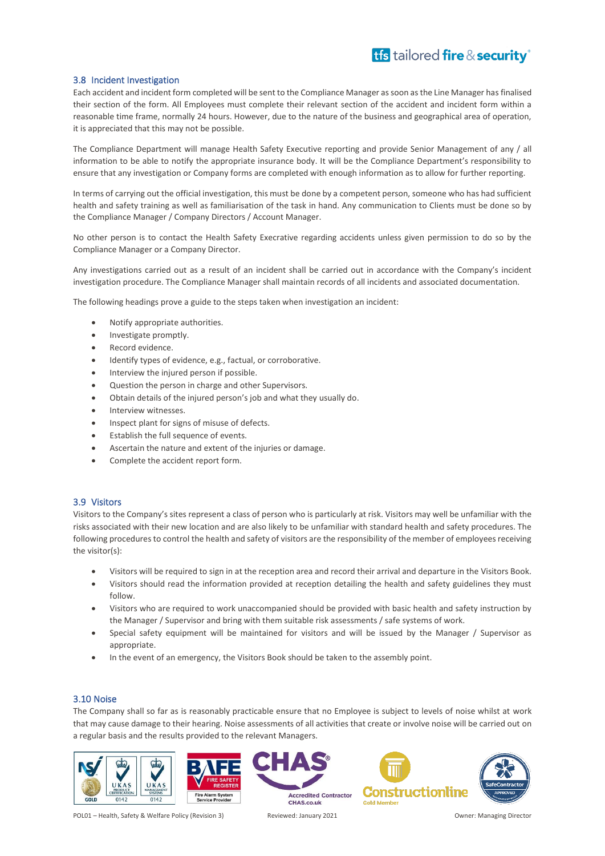### <span id="page-14-0"></span>3.8 Incident Investigation

Each accident and incident form completed will be sent to the Compliance Manager as soon as the Line Manager has finalised their section of the form. All Employees must complete their relevant section of the accident and incident form within a reasonable time frame, normally 24 hours. However, due to the nature of the business and geographical area of operation, it is appreciated that this may not be possible.

The Compliance Department will manage Health Safety Executive reporting and provide Senior Management of any / all information to be able to notify the appropriate insurance body. It will be the Compliance Department's responsibility to ensure that any investigation or Company forms are completed with enough information as to allow for further reporting.

In terms of carrying out the official investigation, this must be done by a competent person, someone who has had sufficient health and safety training as well as familiarisation of the task in hand. Any communication to Clients must be done so by the Compliance Manager / Company Directors / Account Manager.

No other person is to contact the Health Safety Execrative regarding accidents unless given permission to do so by the Compliance Manager or a Company Director.

Any investigations carried out as a result of an incident shall be carried out in accordance with the Company's incident investigation procedure. The Compliance Manager shall maintain records of all incidents and associated documentation.

The following headings prove a guide to the steps taken when investigation an incident:

- Notify appropriate authorities.
- Investigate promptly.
- Record evidence.
- Identify types of evidence, e.g., factual, or corroborative.
- Interview the injured person if possible.
- Question the person in charge and other Supervisors.
- Obtain details of the injured person's job and what they usually do.
- Interview witnesses.
- Inspect plant for signs of misuse of defects.
- Establish the full sequence of events.
- Ascertain the nature and extent of the injuries or damage.
- Complete the accident report form.

### <span id="page-14-1"></span>3.9 Visitors

Visitors to the Company's sites represent a class of person who is particularly at risk. Visitors may well be unfamiliar with the risks associated with their new location and are also likely to be unfamiliar with standard health and safety procedures. The following procedures to control the health and safety of visitors are the responsibility of the member of employees receiving the visitor(s):

- Visitors will be required to sign in at the reception area and record their arrival and departure in the Visitors Book.
- Visitors should read the information provided at reception detailing the health and safety guidelines they must follow.
- Visitors who are required to work unaccompanied should be provided with basic health and safety instruction by the Manager / Supervisor and bring with them suitable risk assessments / safe systems of work.
- Special safety equipment will be maintained for visitors and will be issued by the Manager / Supervisor as appropriate.
- In the event of an emergency, the Visitors Book should be taken to the assembly point.

### <span id="page-14-2"></span>3.10 Noise

The Company shall so far as is reasonably practicable ensure that no Employee is subject to levels of noise whilst at work that may cause damage to their hearing. Noise assessments of all activities that create or involve noise will be carried out on a regular basis and the results provided to the relevant Managers.





**Accredited Contractor** CHAS.co.uk



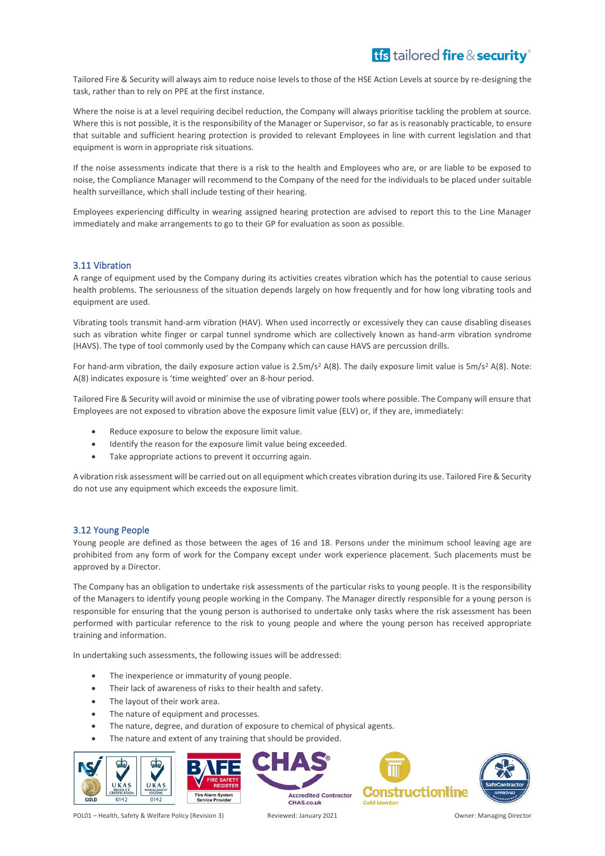Tailored Fire & Security will always aim to reduce noise levels to those of the HSE Action Levels at source by re-designing the task, rather than to rely on PPE at the first instance.

Where the noise is at a level requiring decibel reduction, the Company will always prioritise tackling the problem at source. Where this is not possible, it is the responsibility of the Manager or Supervisor, so far as is reasonably practicable, to ensure that suitable and sufficient hearing protection is provided to relevant Employees in line with current legislation and that equipment is worn in appropriate risk situations.

If the noise assessments indicate that there is a risk to the health and Employees who are, or are liable to be exposed to noise, the Compliance Manager will recommend to the Company of the need for the individuals to be placed under suitable health surveillance, which shall include testing of their hearing.

Employees experiencing difficulty in wearing assigned hearing protection are advised to report this to the Line Manager immediately and make arrangements to go to their GP for evaluation as soon as possible.

### <span id="page-15-0"></span>3.11 Vibration

A range of equipment used by the Company during its activities creates vibration which has the potential to cause serious health problems. The seriousness of the situation depends largely on how frequently and for how long vibrating tools and equipment are used.

Vibrating tools transmit hand-arm vibration (HAV). When used incorrectly or excessively they can cause disabling diseases such as vibration white finger or carpal tunnel syndrome which are collectively known as hand-arm vibration syndrome (HAVS). The type of tool commonly used by the Company which can cause HAVS are percussion drills.

For hand-arm vibration, the daily exposure action value is 2.5m/s<sup>2</sup> A(8). The daily exposure limit value is 5m/s<sup>2</sup> A(8). Note: A(8) indicates exposure is 'time weighted' over an 8-hour period.

Tailored Fire & Security will avoid or minimise the use of vibrating power tools where possible. The Company will ensure that Employees are not exposed to vibration above the exposure limit value (ELV) or, if they are, immediately:

- Reduce exposure to below the exposure limit value.
- Identify the reason for the exposure limit value being exceeded.
- Take appropriate actions to prevent it occurring again.

A vibration risk assessment will be carried out on all equipment which creates vibration during its use. Tailored Fire & Security do not use any equipment which exceeds the exposure limit.

### <span id="page-15-1"></span>3.12 Young People

Young people are defined as those between the ages of 16 and 18. Persons under the minimum school leaving age are prohibited from any form of work for the Company except under work experience placement. Such placements must be approved by a Director.

The Company has an obligation to undertake risk assessments of the particular risks to young people. It is the responsibility of the Managers to identify young people working in the Company. The Manager directly responsible for a young person is responsible for ensuring that the young person is authorised to undertake only tasks where the risk assessment has been performed with particular reference to the risk to young people and where the young person has received appropriate training and information.

In undertaking such assessments, the following issues will be addressed:

- The inexperience or immaturity of young people.
- Their lack of awareness of risks to their health and safety.
- The layout of their work area.
- The nature of equipment and processes.
- The nature, degree, and duration of exposure to chemical of physical agents.
- The nature and extent of any training that should be provided.





**Gold Memb**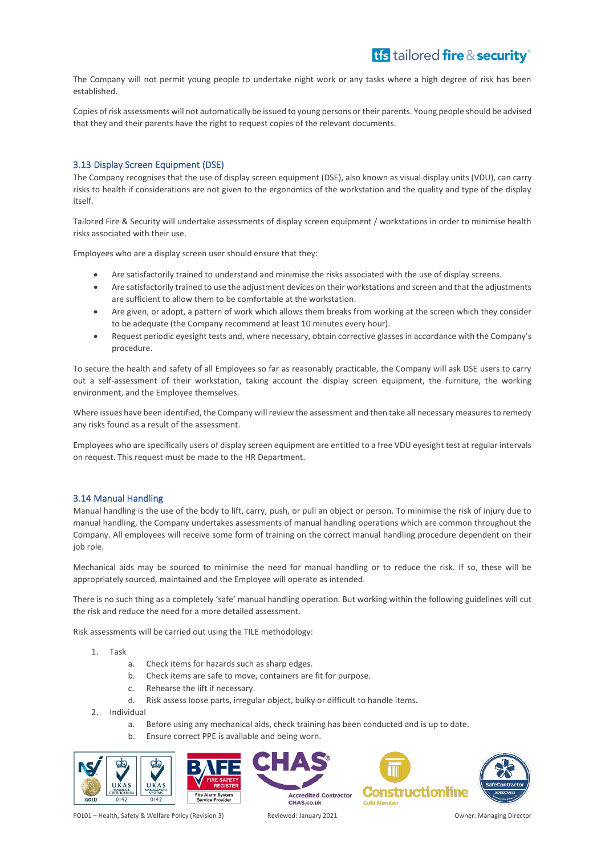The Company will not permit young people to undertake night work or any tasks where a high degree of risk has been established.

Copies of risk assessments will not automatically be issued to young persons or their parents. Young people should be advised that they and their parents have the right to request copies of the relevant documents.

### <span id="page-16-0"></span>3.13 Display Screen Equipment (DSE)

The Company recognises that the use of display screen equipment (DSE), also known as visual display units (VDU), can carry risks to health if considerations are not given to the ergonomics of the workstation and the quality and type of the display itself.

Tailored Fire & Security will undertake assessments of display screen equipment / workstations in order to minimise health risks associated with their use.

Employees who are a display screen user should ensure that they:

- Are satisfactorily trained to understand and minimise the risks associated with the use of display screens.
- Are satisfactorily trained to use the adjustment devices on their workstations and screen and that the adjustments are sufficient to allow them to be comfortable at the workstation.
- Are given, or adopt, a pattern of work which allows them breaks from working at the screen which they consider to be adequate (the Company recommend at least 10 minutes every hour).
- Request periodic eyesight tests and, where necessary, obtain corrective glasses in accordance with the Company's procedure.

To secure the health and safety of all Employees so far as reasonably practicable, the Company will ask DSE users to carry out a self-assessment of their workstation, taking account the display screen equipment, the furniture, the working environment, and the Employee themselves.

Where issues have been identified, the Company will review the assessment and then take all necessary measures to remedy any risks found as a result of the assessment.

Employees who are specifically users of display screen equipment are entitled to a free VDU eyesight test at regular intervals on request. This request must be made to the HR Department.

### <span id="page-16-1"></span>3.14 Manual Handling

Manual handling is the use of the body to lift, carry, push, or pull an object or person. To minimise the risk of injury due to manual handling, the Company undertakes assessments of manual handling operations which are common throughout the Company. All employees will receive some form of training on the correct manual handling procedure dependent on their job role.

Mechanical aids may be sourced to minimise the need for manual handling or to reduce the risk. If so, these will be appropriately sourced, maintained and the Employee will operate as intended.

There is no such thing as a completely 'safe' manual handling operation. But working within the following guidelines will cut the risk and reduce the need for a more detailed assessment.

Risk assessments will be carried out using the TILE methodology:

- 1. Task
	- a. Check items for hazards such as sharp edges.
	- b. Check items are safe to move, containers are fit for purpose.
	- c. Rehearse the lift if necessary.
	- d. Risk assess loose parts, irregular object, bulky or difficult to handle items.
- 2. Individual
	- a. Before using any mechanical aids, check training has been conducted and is up to date.
	- b. Ensure correct PPE is available and being worn.





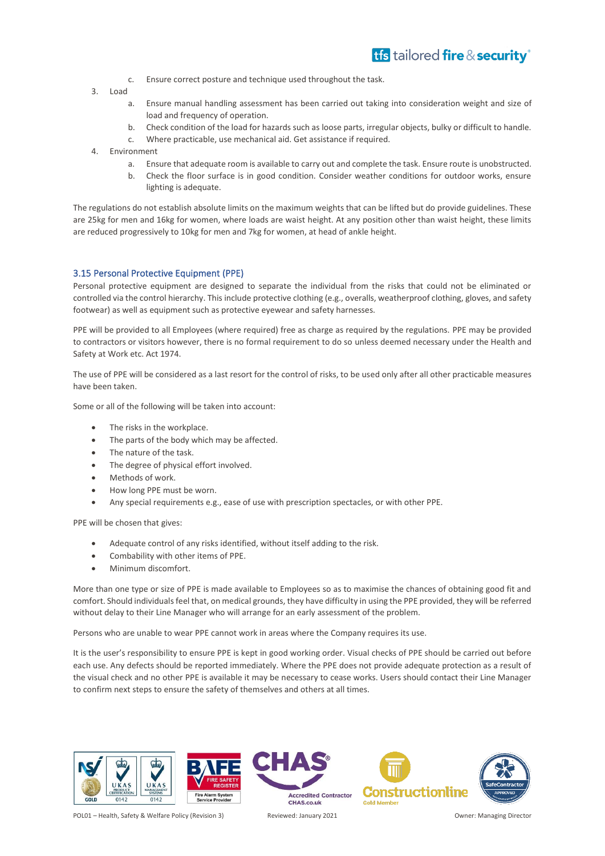- c. Ensure correct posture and technique used throughout the task.
- 3. Load
	- a. Ensure manual handling assessment has been carried out taking into consideration weight and size of load and frequency of operation.
	- b. Check condition of the load for hazards such as loose parts, irregular objects, bulky or difficult to handle.
	- c. Where practicable, use mechanical aid. Get assistance if required.
- 4. Environment
	- a. Ensure that adequate room is available to carry out and complete the task. Ensure route is unobstructed.
	- b. Check the floor surface is in good condition. Consider weather conditions for outdoor works, ensure lighting is adequate.

The regulations do not establish absolute limits on the maximum weights that can be lifted but do provide guidelines. These are 25kg for men and 16kg for women, where loads are waist height. At any position other than waist height, these limits are reduced progressively to 10kg for men and 7kg for women, at head of ankle height.

### <span id="page-17-0"></span>3.15 Personal Protective Equipment (PPE)

Personal protective equipment are designed to separate the individual from the risks that could not be eliminated or controlled via the control hierarchy. This include protective clothing (e.g., overalls, weatherproof clothing, gloves, and safety footwear) as well as equipment such as protective eyewear and safety harnesses.

PPE will be provided to all Employees (where required) free as charge as required by the regulations. PPE may be provided to contractors or visitors however, there is no formal requirement to do so unless deemed necessary under the Health and Safety at Work etc. Act 1974.

The use of PPE will be considered as a last resort for the control of risks, to be used only after all other practicable measures have been taken.

Some or all of the following will be taken into account:

- The risks in the workplace.
- The parts of the body which may be affected.
- The nature of the task.
- The degree of physical effort involved.
- Methods of work.
- How long PPE must be worn.
- Any special requirements e.g., ease of use with prescription spectacles, or with other PPE.

PPE will be chosen that gives:

- Adequate control of any risks identified, without itself adding to the risk.
- Combability with other items of PPE.
- Minimum discomfort.

More than one type or size of PPE is made available to Employees so as to maximise the chances of obtaining good fit and comfort. Should individuals feel that, on medical grounds, they have difficulty in using the PPE provided, they will be referred without delay to their Line Manager who will arrange for an early assessment of the problem.

Persons who are unable to wear PPE cannot work in areas where the Company requires its use.

It is the user's responsibility to ensure PPE is kept in good working order. Visual checks of PPE should be carried out before each use. Any defects should be reported immediately. Where the PPE does not provide adequate protection as a result of the visual check and no other PPE is available it may be necessary to cease works. Users should contact their Line Manager to confirm next steps to ensure the safety of themselves and others at all times.

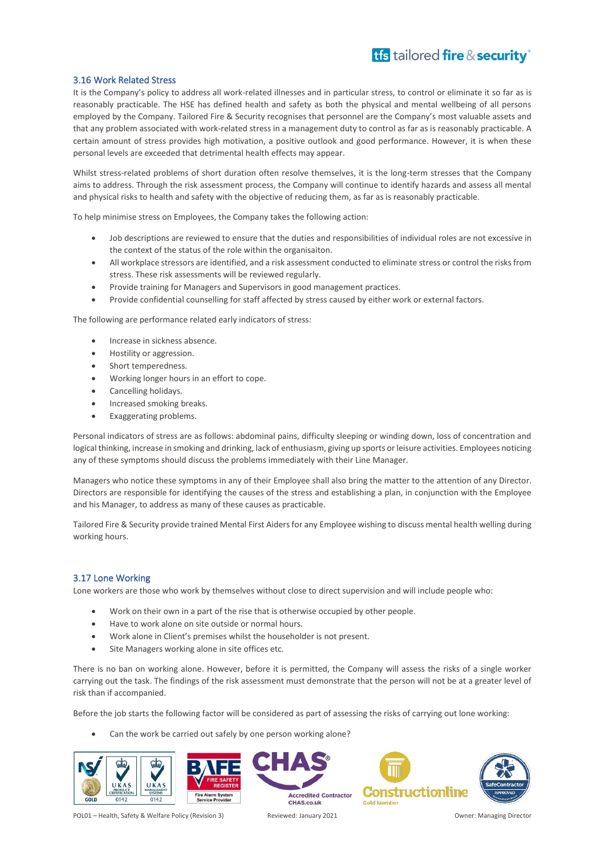### <span id="page-18-0"></span>3.16 Work Related Stress

It is the Company's policy to address all work-related illnesses and in particular stress, to control or eliminate it so far as is reasonably practicable. The HSE has defined health and safety as both the physical and mental wellbeing of all persons employed by the Company. Tailored Fire & Security recognises that personnel are the Company's most valuable assets and that any problem associated with work-related stress in a management duty to control as far as is reasonably practicable. A certain amount of stress provides high motivation, a positive outlook and good performance. However, it is when these personal levels are exceeded that detrimental health effects may appear.

Whilst stress-related problems of short duration often resolve themselves, it is the long-term stresses that the Company aims to address. Through the risk assessment process, the Company will continue to identify hazards and assess all mental and physical risks to health and safety with the objective of reducing them, as far as is reasonably practicable.

To help minimise stress on Employees, the Company takes the following action:

- Job descriptions are reviewed to ensure that the duties and responsibilities of individual roles are not excessive in the context of the status of the role within the organisaiton.
- All workplace stressors are identified, and a risk assessment conducted to eliminate stress or control the risks from stress. These risk assessments will be reviewed regularly.
- Provide training for Managers and Supervisors in good management practices.
- Provide confidential counselling for staff affected by stress caused by either work or external factors.

The following are performance related early indicators of stress:

- Increase in sickness absence.
- Hostility or aggression.
- Short temperedness.
- Working longer hours in an effort to cope.
- Cancelling holidays.
- Increased smoking breaks.
- Exaggerating problems.

Personal indicators of stress are as follows: abdominal pains, difficulty sleeping or winding down, loss of concentration and logical thinking, increase in smoking and drinking, lack of enthusiasm, giving up sports or leisure activities. Employees noticing any of these symptoms should discuss the problems immediately with their Line Manager.

Managers who notice these symptoms in any of their Employee shall also bring the matter to the attention of any Director. Directors are responsible for identifying the causes of the stress and establishing a plan, in conjunction with the Employee and his Manager, to address as many of these causes as practicable.

Tailored Fire & Security provide trained Mental First Aiders for any Employee wishing to discuss mental health welling during working hours.

### <span id="page-18-1"></span>3.17 Lone Working

Lone workers are those who work by themselves without close to direct supervision and will include people who:

- Work on their own in a part of the rise that is otherwise occupied by other people.
- Have to work alone on site outside or normal hours.
- Work alone in Client's premises whilst the householder is not present.
- Site Managers working alone in site offices etc.

There is no ban on working alone. However, before it is permitted, the Company will assess the risks of a single worker carrying out the task. The findings of the risk assessment must demonstrate that the person will not be at a greater level of risk than if accompanied.

Before the job starts the following factor will be considered as part of assessing the risks of carrying out lone working:

Can the work be carried out safely by one person working alone?



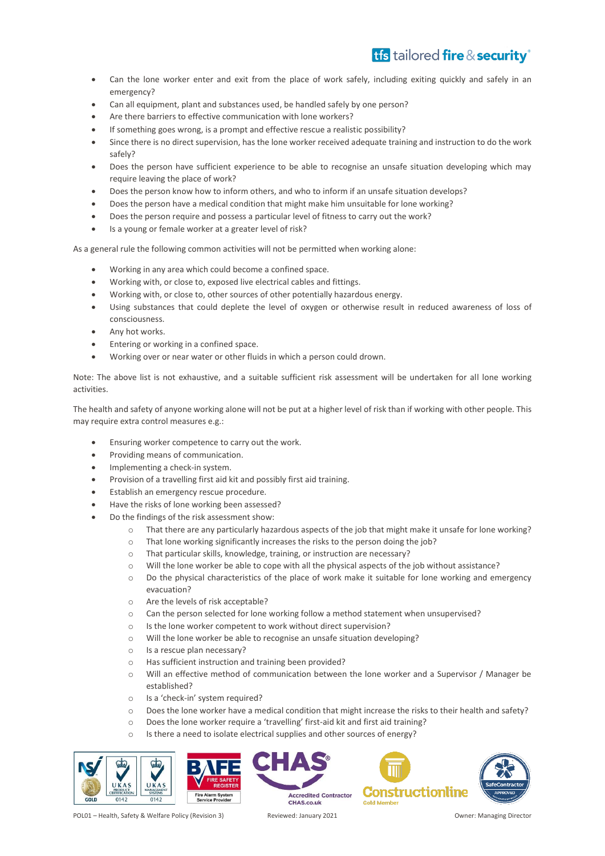- Can the lone worker enter and exit from the place of work safely, including exiting quickly and safely in an emergency?
- Can all equipment, plant and substances used, be handled safely by one person?
- Are there barriers to effective communication with lone workers?
- If something goes wrong, is a prompt and effective rescue a realistic possibility?
- Since there is no direct supervision, has the lone worker received adequate training and instruction to do the work safely?
- Does the person have sufficient experience to be able to recognise an unsafe situation developing which may require leaving the place of work?
- Does the person know how to inform others, and who to inform if an unsafe situation develops?
- Does the person have a medical condition that might make him unsuitable for lone working?
- Does the person require and possess a particular level of fitness to carry out the work?
- Is a young or female worker at a greater level of risk?

As a general rule the following common activities will not be permitted when working alone:

- Working in any area which could become a confined space.
- Working with, or close to, exposed live electrical cables and fittings.
- Working with, or close to, other sources of other potentially hazardous energy.
- Using substances that could deplete the level of oxygen or otherwise result in reduced awareness of loss of consciousness.
- Any hot works.
- Entering or working in a confined space.
- Working over or near water or other fluids in which a person could drown.

Note: The above list is not exhaustive, and a suitable sufficient risk assessment will be undertaken for all lone working activities.

The health and safety of anyone working alone will not be put at a higher level of risk than if working with other people. This may require extra control measures e.g.:

- Ensuring worker competence to carry out the work.
- Providing means of communication.
- Implementing a check-in system.
- Provision of a travelling first aid kit and possibly first aid training.
- Establish an emergency rescue procedure.
- Have the risks of lone working been assessed?
- Do the findings of the risk assessment show:
	- o That there are any particularly hazardous aspects of the job that might make it unsafe for lone working?
	- $\circ$  That lone working significantly increases the risks to the person doing the job?
	- o That particular skills, knowledge, training, or instruction are necessary?
	- o Will the lone worker be able to cope with all the physical aspects of the job without assistance?
	- o Do the physical characteristics of the place of work make it suitable for lone working and emergency evacuation?
	- o Are the levels of risk acceptable?
	- o Can the person selected for lone working follow a method statement when unsupervised?
	- o Is the lone worker competent to work without direct supervision?
	- o Will the lone worker be able to recognise an unsafe situation developing?
	- o Is a rescue plan necessary?
	- o Has sufficient instruction and training been provided?
	- o Will an effective method of communication between the lone worker and a Supervisor / Manager be established?
	- o Is a 'check-in' system required?
	- o Does the lone worker have a medical condition that might increase the risks to their health and safety?
	- o Does the lone worker require a 'travelling' first-aid kit and first aid training?
	- o Is there a need to isolate electrical supplies and other sources of energy?







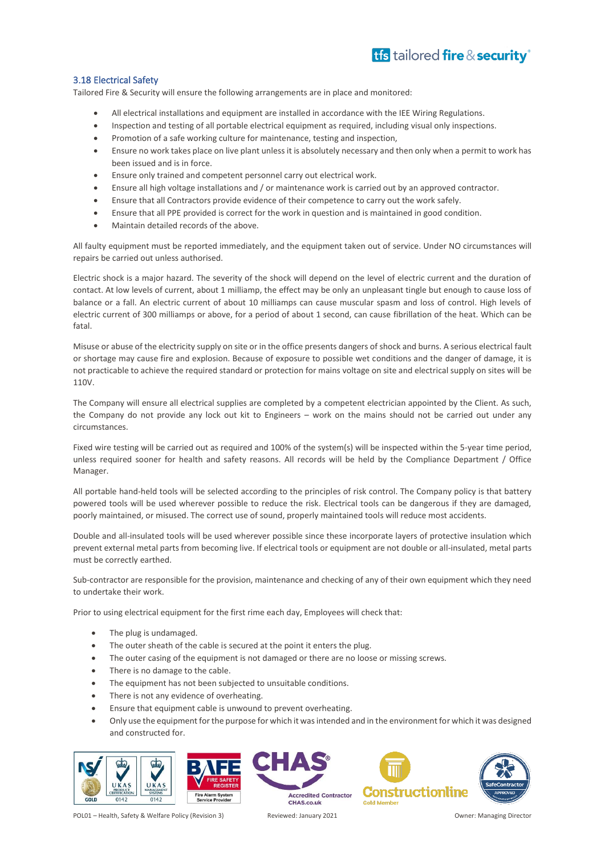### <span id="page-20-0"></span>3.18 Electrical Safety

Tailored Fire & Security will ensure the following arrangements are in place and monitored:

- All electrical installations and equipment are installed in accordance with the IEE Wiring Regulations.
- Inspection and testing of all portable electrical equipment as required, including visual only inspections.
- Promotion of a safe working culture for maintenance, testing and inspection,
- Ensure no work takes place on live plant unless it is absolutely necessary and then only when a permit to work has been issued and is in force.
- Ensure only trained and competent personnel carry out electrical work.
- Ensure all high voltage installations and / or maintenance work is carried out by an approved contractor.
- Ensure that all Contractors provide evidence of their competence to carry out the work safely.
- Ensure that all PPE provided is correct for the work in question and is maintained in good condition.
- Maintain detailed records of the above.

All faulty equipment must be reported immediately, and the equipment taken out of service. Under NO circumstances will repairs be carried out unless authorised.

Electric shock is a major hazard. The severity of the shock will depend on the level of electric current and the duration of contact. At low levels of current, about 1 milliamp, the effect may be only an unpleasant tingle but enough to cause loss of balance or a fall. An electric current of about 10 milliamps can cause muscular spasm and loss of control. High levels of electric current of 300 milliamps or above, for a period of about 1 second, can cause fibrillation of the heat. Which can be fatal.

Misuse or abuse of the electricity supply on site or in the office presents dangers of shock and burns. A serious electrical fault or shortage may cause fire and explosion. Because of exposure to possible wet conditions and the danger of damage, it is not practicable to achieve the required standard or protection for mains voltage on site and electrical supply on sites will be 110V.

The Company will ensure all electrical supplies are completed by a competent electrician appointed by the Client. As such, the Company do not provide any lock out kit to Engineers – work on the mains should not be carried out under any circumstances.

Fixed wire testing will be carried out as required and 100% of the system(s) will be inspected within the 5-year time period, unless required sooner for health and safety reasons. All records will be held by the Compliance Department / Office Manager.

All portable hand-held tools will be selected according to the principles of risk control. The Company policy is that battery powered tools will be used wherever possible to reduce the risk. Electrical tools can be dangerous if they are damaged, poorly maintained, or misused. The correct use of sound, properly maintained tools will reduce most accidents.

Double and all-insulated tools will be used wherever possible since these incorporate layers of protective insulation which prevent external metal parts from becoming live. If electrical tools or equipment are not double or all-insulated, metal parts must be correctly earthed.

Sub-contractor are responsible for the provision, maintenance and checking of any of their own equipment which they need to undertake their work.

Prior to using electrical equipment for the first rime each day, Employees will check that:

- The plug is undamaged.
- The outer sheath of the cable is secured at the point it enters the plug.
- The outer casing of the equipment is not damaged or there are no loose or missing screws.
- There is no damage to the cable.
- The equipment has not been subjected to unsuitable conditions.
- There is not any evidence of overheating.
- Ensure that equipment cable is unwound to prevent overheating.
- Only use the equipment for the purpose for which it was intended and in the environment for which it was designed and constructed for.

**Accredited Contractor** 







POL01 – Health, Safety & Welfare Policy (Revision 3) Reviewed: January 2021 Owner: Managing Director

CHAS.co.uk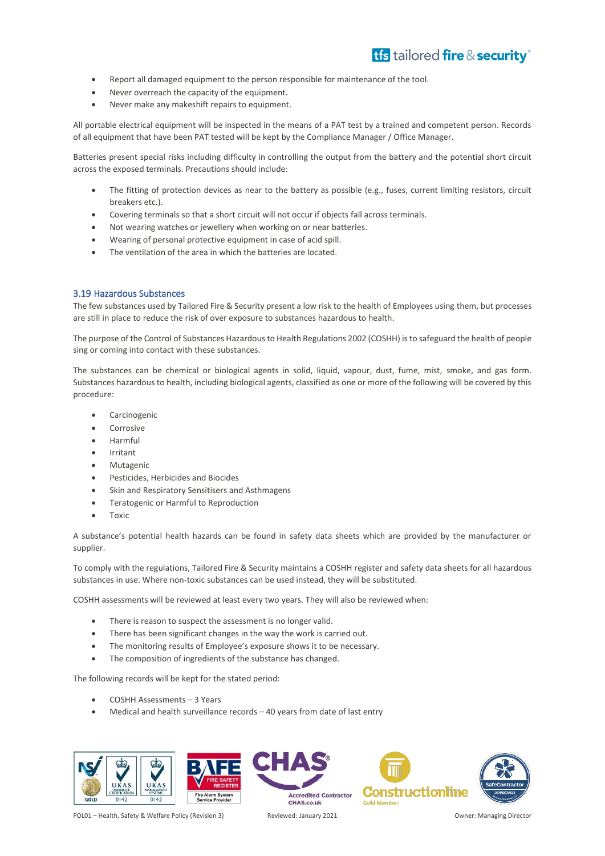- Report all damaged equipment to the person responsible for maintenance of the tool.
- Never overreach the capacity of the equipment.
- Never make any makeshift repairs to equipment.

All portable electrical equipment will be inspected in the means of a PAT test by a trained and competent person. Records of all equipment that have been PAT tested will be kept by the Compliance Manager / Office Manager.

Batteries present special risks including difficulty in controlling the output from the battery and the potential short circuit across the exposed terminals. Precautions should include:

- The fitting of protection devices as near to the battery as possible (e.g., fuses, current limiting resistors, circuit breakers etc.).
- Covering terminals so that a short circuit will not occur if objects fall across terminals.
- Not wearing watches or jewellery when working on or near batteries.
- Wearing of personal protective equipment in case of acid spill.
- The ventilation of the area in which the batteries are located.

### <span id="page-21-0"></span>3.19 Hazardous Substances

The few substances used by Tailored Fire & Security present a low risk to the health of Employees using them, but processes are still in place to reduce the risk of over exposure to substances hazardous to health.

The purpose of the Control of Substances Hazardous to Health Regulations 2002 (COSHH) is to safeguard the health of people sing or coming into contact with these substances.

The substances can be chemical or biological agents in solid, liquid, vapour, dust, fume, mist, smoke, and gas form. Substances hazardous to health, including biological agents, classified as one or more of the following will be covered by this procedure:

- **Carcinogenic**
- **Corrosive**
- Harmful
- **Irritant**
- **Mutagenic**
- Pesticides, Herbicides and Biocides
- Skin and Respiratory Sensitisers and Asthmagens
- Teratogenic or Harmful to Reproduction
- Toxic

A substance's potential health hazards can be found in safety data sheets which are provided by the manufacturer or supplier.

To comply with the regulations, Tailored Fire & Security maintains a COSHH register and safety data sheets for all hazardous substances in use. Where non-toxic substances can be used instead, they will be substituted.

COSHH assessments will be reviewed at least every two years. They will also be reviewed when:

- There is reason to suspect the assessment is no longer valid.
- There has been significant changes in the way the work is carried out.
- The monitoring results of Employee's exposure shows it to be necessary.
- The composition of ingredients of the substance has changed.

The following records will be kept for the stated period:

- COSHH Assessments 3 Years
- Medical and health surveillance records  $-40$  years from date of last entry



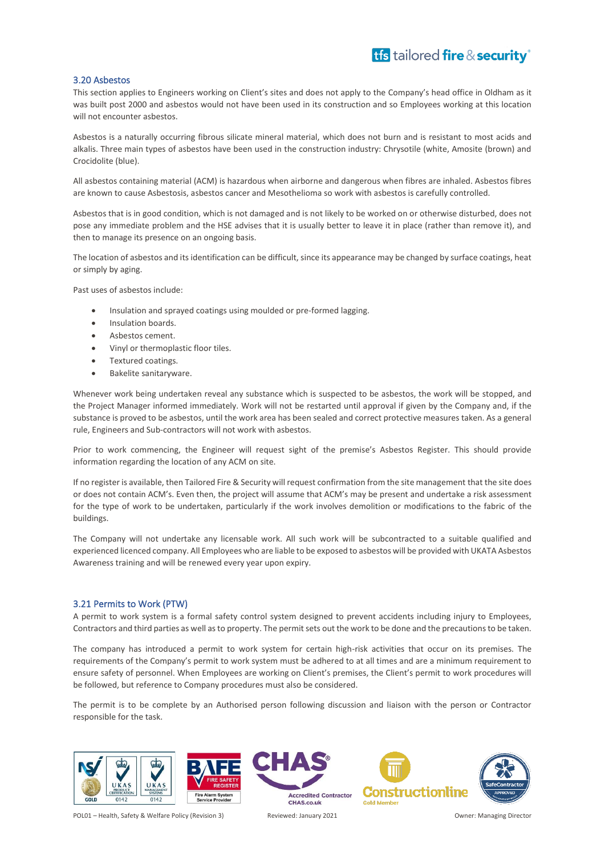### <span id="page-22-0"></span>3.20 Asbestos

This section applies to Engineers working on Client's sites and does not apply to the Company's head office in Oldham as it was built post 2000 and asbestos would not have been used in its construction and so Employees working at this location will not encounter asbestos.

Asbestos is a naturally occurring fibrous silicate mineral material, which does not burn and is resistant to most acids and alkalis. Three main types of asbestos have been used in the construction industry: Chrysotile (white, Amosite (brown) and Crocidolite (blue).

All asbestos containing material (ACM) is hazardous when airborne and dangerous when fibres are inhaled. Asbestos fibres are known to cause Asbestosis, asbestos cancer and Mesothelioma so work with asbestos is carefully controlled.

Asbestos that is in good condition, which is not damaged and is not likely to be worked on or otherwise disturbed, does not pose any immediate problem and the HSE advises that it is usually better to leave it in place (rather than remove it), and then to manage its presence on an ongoing basis.

The location of asbestos and its identification can be difficult, since its appearance may be changed by surface coatings, heat or simply by aging.

Past uses of asbestos include:

- Insulation and sprayed coatings using moulded or pre-formed lagging.
- Insulation boards.
- Asbestos cement.
- Vinyl or thermoplastic floor tiles.
- Textured coatings.
- Bakelite sanitaryware.

Whenever work being undertaken reveal any substance which is suspected to be asbestos, the work will be stopped, and the Project Manager informed immediately. Work will not be restarted until approval if given by the Company and, if the substance is proved to be asbestos, until the work area has been sealed and correct protective measures taken. As a general rule, Engineers and Sub-contractors will not work with asbestos.

Prior to work commencing, the Engineer will request sight of the premise's Asbestos Register. This should provide information regarding the location of any ACM on site.

If no register is available, then Tailored Fire & Security will request confirmation from the site management that the site does or does not contain ACM's. Even then, the project will assume that ACM's may be present and undertake a risk assessment for the type of work to be undertaken, particularly if the work involves demolition or modifications to the fabric of the buildings.

The Company will not undertake any licensable work. All such work will be subcontracted to a suitable qualified and experienced licenced company. All Employees who are liable to be exposed to asbestos will be provided with UKATA Asbestos Awareness training and will be renewed every year upon expiry.

### <span id="page-22-1"></span>3.21 Permits to Work (PTW)

A permit to work system is a formal safety control system designed to prevent accidents including injury to Employees, Contractors and third parties as well as to property. The permit sets out the work to be done and the precautions to be taken.

The company has introduced a permit to work system for certain high-risk activities that occur on its premises. The requirements of the Company's permit to work system must be adhered to at all times and are a minimum requirement to ensure safety of personnel. When Employees are working on Client's premises, the Client's permit to work procedures will be followed, but reference to Company procedures must also be considered.

The permit is to be complete by an Authorised person following discussion and liaison with the person or Contractor responsible for the task.





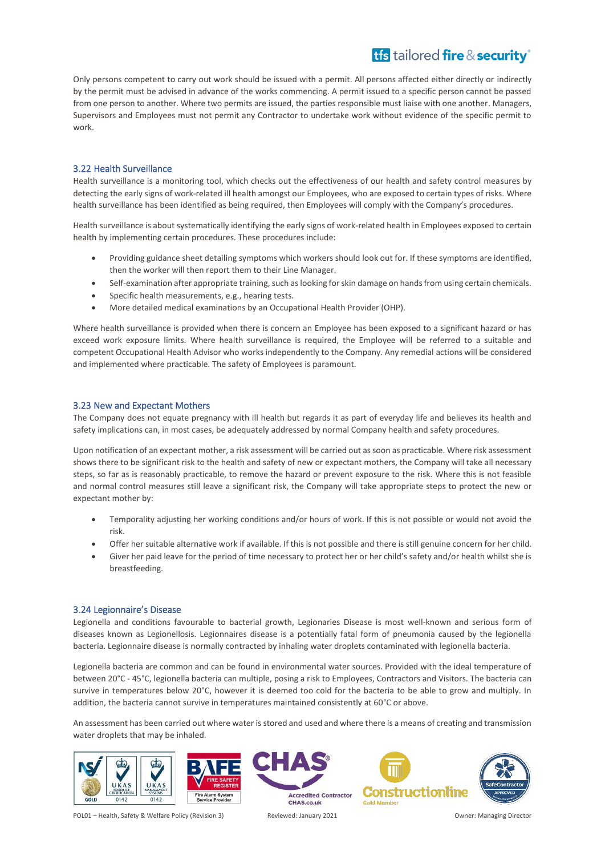Only persons competent to carry out work should be issued with a permit. All persons affected either directly or indirectly by the permit must be advised in advance of the works commencing. A permit issued to a specific person cannot be passed from one person to another. Where two permits are issued, the parties responsible must liaise with one another. Managers, Supervisors and Employees must not permit any Contractor to undertake work without evidence of the specific permit to work.

### <span id="page-23-0"></span>3.22 Health Surveillance

Health surveillance is a monitoring tool, which checks out the effectiveness of our health and safety control measures by detecting the early signs of work-related ill health amongst our Employees, who are exposed to certain types of risks. Where health surveillance has been identified as being required, then Employees will comply with the Company's procedures.

Health surveillance is about systematically identifying the early signs of work-related health in Employees exposed to certain health by implementing certain procedures. These procedures include:

- Providing guidance sheet detailing symptoms which workers should look out for. If these symptoms are identified, then the worker will then report them to their Line Manager.
- Self-examination after appropriate training, such as looking for skin damage on hands from using certain chemicals.
- Specific health measurements, e.g., hearing tests.
- More detailed medical examinations by an Occupational Health Provider (OHP).

Where health surveillance is provided when there is concern an Employee has been exposed to a significant hazard or has exceed work exposure limits. Where health surveillance is required, the Employee will be referred to a suitable and competent Occupational Health Advisor who works independently to the Company. Any remedial actions will be considered and implemented where practicable. The safety of Employees is paramount.

### <span id="page-23-1"></span>3.23 New and Expectant Mothers

The Company does not equate pregnancy with ill health but regards it as part of everyday life and believes its health and safety implications can, in most cases, be adequately addressed by normal Company health and safety procedures.

Upon notification of an expectant mother, a risk assessment will be carried out as soon as practicable. Where risk assessment shows there to be significant risk to the health and safety of new or expectant mothers, the Company will take all necessary steps, so far as is reasonably practicable, to remove the hazard or prevent exposure to the risk. Where this is not feasible and normal control measures still leave a significant risk, the Company will take appropriate steps to protect the new or expectant mother by:

- Temporality adjusting her working conditions and/or hours of work. If this is not possible or would not avoid the risk.
- Offer her suitable alternative work if available. If this is not possible and there is still genuine concern for her child.
- Giver her paid leave for the period of time necessary to protect her or her child's safety and/or health whilst she is breastfeeding.

### <span id="page-23-2"></span>3.24 Legionnaire's Disease

Legionella and conditions favourable to bacterial growth, Legionaries Disease is most well-known and serious form of diseases known as Legionellosis. Legionnaires disease is a potentially fatal form of pneumonia caused by the legionella bacteria. Legionnaire disease is normally contracted by inhaling water droplets contaminated with legionella bacteria.

Legionella bacteria are common and can be found in environmental water sources. Provided with the ideal temperature of between 20°C - 45°C, legionella bacteria can multiple, posing a risk to Employees, Contractors and Visitors. The bacteria can survive in temperatures below 20°C, however it is deemed too cold for the bacteria to be able to grow and multiply. In addition, the bacteria cannot survive in temperatures maintained consistently at 60°C or above.

An assessment has been carried out where water is stored and used and where there is a means of creating and transmission water droplets that may be inhaled.





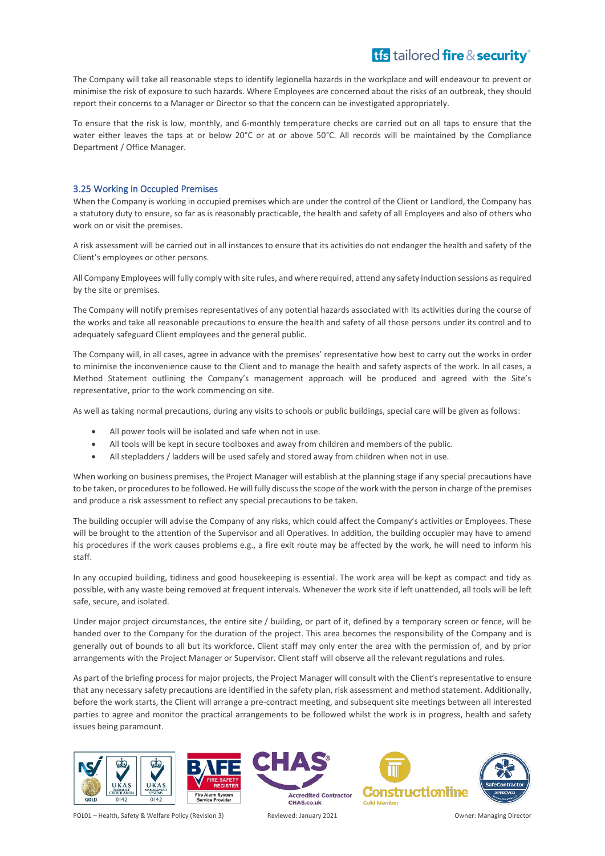The Company will take all reasonable steps to identify legionella hazards in the workplace and will endeavour to prevent or minimise the risk of exposure to such hazards. Where Employees are concerned about the risks of an outbreak, they should report their concerns to a Manager or Director so that the concern can be investigated appropriately.

To ensure that the risk is low, monthly, and 6-monthly temperature checks are carried out on all taps to ensure that the water either leaves the taps at or below 20°C or at or above 50°C. All records will be maintained by the Compliance Department / Office Manager.

### <span id="page-24-0"></span>3.25 Working in Occupied Premises

When the Company is working in occupied premises which are under the control of the Client or Landlord, the Company has a statutory duty to ensure, so far as is reasonably practicable, the health and safety of all Employees and also of others who work on or visit the premises.

A risk assessment will be carried out in all instances to ensure that its activities do not endanger the health and safety of the Client's employees or other persons.

All Company Employees will fully comply with site rules, and where required, attend any safety induction sessions as required by the site or premises.

The Company will notify premises representatives of any potential hazards associated with its activities during the course of the works and take all reasonable precautions to ensure the health and safety of all those persons under its control and to adequately safeguard Client employees and the general public.

The Company will, in all cases, agree in advance with the premises' representative how best to carry out the works in order to minimise the inconvenience cause to the Client and to manage the health and safety aspects of the work. In all cases, a Method Statement outlining the Company's management approach will be produced and agreed with the Site's representative, prior to the work commencing on site.

As well as taking normal precautions, during any visits to schools or public buildings, special care will be given as follows:

- All power tools will be isolated and safe when not in use.
- All tools will be kept in secure toolboxes and away from children and members of the public.
- All stepladders / ladders will be used safely and stored away from children when not in use.

When working on business premises, the Project Manager will establish at the planning stage if any special precautions have to be taken, or procedures to be followed. He will fully discuss the scope of the work with the person in charge of the premises and produce a risk assessment to reflect any special precautions to be taken.

The building occupier will advise the Company of any risks, which could affect the Company's activities or Employees. These will be brought to the attention of the Supervisor and all Operatives. In addition, the building occupier may have to amend his procedures if the work causes problems e.g., a fire exit route may be affected by the work, he will need to inform his staff.

In any occupied building, tidiness and good housekeeping is essential. The work area will be kept as compact and tidy as possible, with any waste being removed at frequent intervals. Whenever the work site if left unattended, all tools will be left safe, secure, and isolated.

Under major project circumstances, the entire site / building, or part of it, defined by a temporary screen or fence, will be handed over to the Company for the duration of the project. This area becomes the responsibility of the Company and is generally out of bounds to all but its workforce. Client staff may only enter the area with the permission of, and by prior arrangements with the Project Manager or Supervisor. Client staff will observe all the relevant regulations and rules.

As part of the briefing process for major projects, the Project Manager will consult with the Client's representative to ensure that any necessary safety precautions are identified in the safety plan, risk assessment and method statement. Additionally, before the work starts, the Client will arrange a pre-contract meeting, and subsequent site meetings between all interested parties to agree and monitor the practical arrangements to be followed whilst the work is in progress, health and safety issues being paramount.





CHAS.co.uk



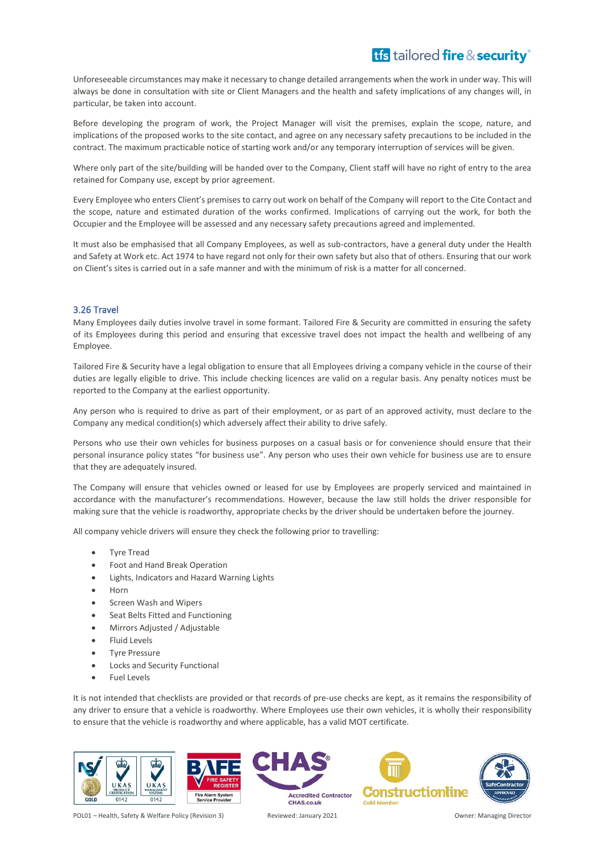Unforeseeable circumstances may make it necessary to change detailed arrangements when the work in under way. This will always be done in consultation with site or Client Managers and the health and safety implications of any changes will, in particular, be taken into account.

Before developing the program of work, the Project Manager will visit the premises, explain the scope, nature, and implications of the proposed works to the site contact, and agree on any necessary safety precautions to be included in the contract. The maximum practicable notice of starting work and/or any temporary interruption of services will be given.

Where only part of the site/building will be handed over to the Company, Client staff will have no right of entry to the area retained for Company use, except by prior agreement.

Every Employee who enters Client's premises to carry out work on behalf of the Company will report to the Cite Contact and the scope, nature and estimated duration of the works confirmed. Implications of carrying out the work, for both the Occupier and the Employee will be assessed and any necessary safety precautions agreed and implemented.

It must also be emphasised that all Company Employees, as well as sub-contractors, have a general duty under the Health and Safety at Work etc. Act 1974 to have regard not only for their own safety but also that of others. Ensuring that our work on Client's sites is carried out in a safe manner and with the minimum of risk is a matter for all concerned.

### <span id="page-25-0"></span>3.26 Travel

Many Employees daily duties involve travel in some formant. Tailored Fire & Security are committed in ensuring the safety of its Employees during this period and ensuring that excessive travel does not impact the health and wellbeing of any Employee.

Tailored Fire & Security have a legal obligation to ensure that all Employees driving a company vehicle in the course of their duties are legally eligible to drive. This include checking licences are valid on a regular basis. Any penalty notices must be reported to the Company at the earliest opportunity.

Any person who is required to drive as part of their employment, or as part of an approved activity, must declare to the Company any medical condition(s) which adversely affect their ability to drive safely.

Persons who use their own vehicles for business purposes on a casual basis or for convenience should ensure that their personal insurance policy states "for business use". Any person who uses their own vehicle for business use are to ensure that they are adequately insured.

The Company will ensure that vehicles owned or leased for use by Employees are properly serviced and maintained in accordance with the manufacturer's recommendations. However, because the law still holds the driver responsible for making sure that the vehicle is roadworthy, appropriate checks by the driver should be undertaken before the journey.

All company vehicle drivers will ensure they check the following prior to travelling:

- Tyre Tread
- Foot and Hand Break Operation
- Lights, Indicators and Hazard Warning Lights
- Horn
- Screen Wash and Wipers
- Seat Belts Fitted and Functioning
- Mirrors Adjusted / Adjustable
- Fluid Levels
- Tyre Pressure
- Locks and Security Functional
- Fuel Levels

It is not intended that checklists are provided or that records of pre-use checks are kept, as it remains the responsibility of any driver to ensure that a vehicle is roadworthy. Where Employees use their own vehicles, it is wholly their responsibility to ensure that the vehicle is roadworthy and where applicable, has a valid MOT certificate.





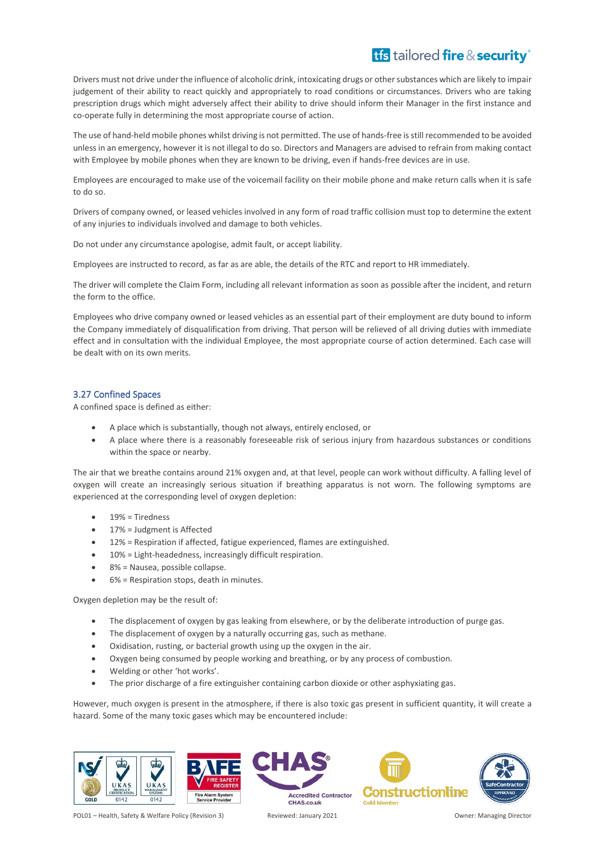Drivers must not drive under the influence of alcoholic drink, intoxicating drugs or other substances which are likely to impair judgement of their ability to react quickly and appropriately to road conditions or circumstances. Drivers who are taking prescription drugs which might adversely affect their ability to drive should inform their Manager in the first instance and co-operate fully in determining the most appropriate course of action.

The use of hand-held mobile phones whilst driving is not permitted. The use of hands-free is still recommended to be avoided unless in an emergency, however it is not illegal to do so. Directors and Managers are advised to refrain from making contact with Employee by mobile phones when they are known to be driving, even if hands-free devices are in use.

Employees are encouraged to make use of the voicemail facility on their mobile phone and make return calls when it is safe to do so.

Drivers of company owned, or leased vehicles involved in any form of road traffic collision must top to determine the extent of any injuries to individuals involved and damage to both vehicles.

Do not under any circumstance apologise, admit fault, or accept liability.

Employees are instructed to record, as far as are able, the details of the RTC and report to HR immediately.

The driver will complete the Claim Form, including all relevant information as soon as possible after the incident, and return the form to the office.

Employees who drive company owned or leased vehicles as an essential part of their employment are duty bound to inform the Company immediately of disqualification from driving. That person will be relieved of all driving duties with immediate effect and in consultation with the individual Employee, the most appropriate course of action determined. Each case will be dealt with on its own merits.

### <span id="page-26-0"></span>3.27 Confined Spaces

A confined space is defined as either:

- A place which is substantially, though not always, entirely enclosed, or
- A place where there is a reasonably foreseeable risk of serious injury from hazardous substances or conditions within the space or nearby.

The air that we breathe contains around 21% oxygen and, at that level, people can work without difficulty. A falling level of oxygen will create an increasingly serious situation if breathing apparatus is not worn. The following symptoms are experienced at the corresponding level of oxygen depletion:

- 19% = Tiredness
- 17% = Judgment is Affected
- 12% = Respiration if affected, fatigue experienced, flames are extinguished.
- 10% = Light-headedness, increasingly difficult respiration.
- 8% = Nausea, possible collapse.
- 6% = Respiration stops, death in minutes.

Oxygen depletion may be the result of:

- The displacement of oxygen by gas leaking from elsewhere, or by the deliberate introduction of purge gas.
- The displacement of oxygen by a naturally occurring gas, such as methane.
- Oxidisation, rusting, or bacterial growth using up the oxygen in the air.
- Oxygen being consumed by people working and breathing, or by any process of combustion.
- Welding or other 'hot works'.
- The prior discharge of a fire extinguisher containing carbon dioxide or other asphyxiating gas.

However, much oxygen is present in the atmosphere, if there is also toxic gas present in sufficient quantity, it will create a hazard. Some of the many toxic gases which may be encountered include:







**Accredited Contractor** 



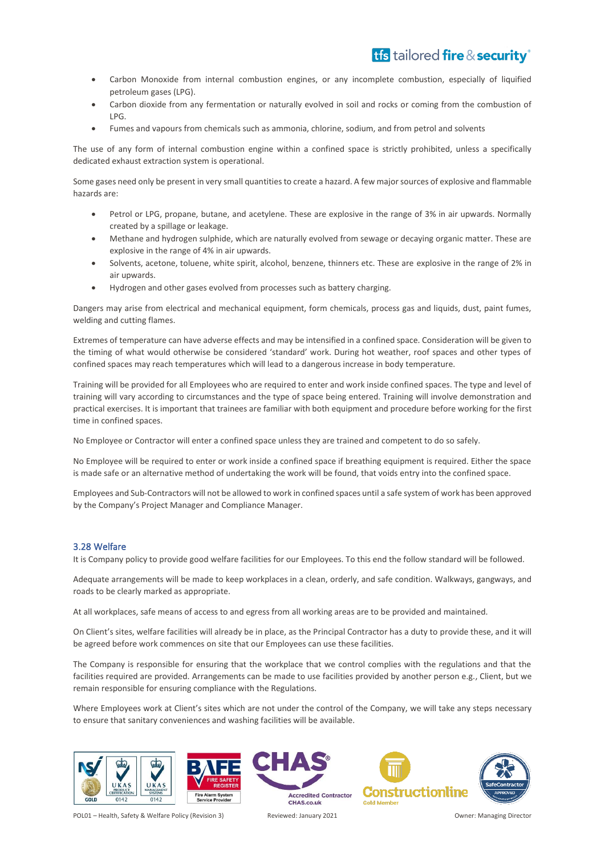- Carbon Monoxide from internal combustion engines, or any incomplete combustion, especially of liquified petroleum gases (LPG).
- Carbon dioxide from any fermentation or naturally evolved in soil and rocks or coming from the combustion of LPG.
- Fumes and vapours from chemicals such as ammonia, chlorine, sodium, and from petrol and solvents

The use of any form of internal combustion engine within a confined space is strictly prohibited, unless a specifically dedicated exhaust extraction system is operational.

Some gases need only be present in very small quantities to create a hazard. A few major sources of explosive and flammable hazards are:

- Petrol or LPG, propane, butane, and acetylene. These are explosive in the range of 3% in air upwards. Normally created by a spillage or leakage.
- Methane and hydrogen sulphide, which are naturally evolved from sewage or decaying organic matter. These are explosive in the range of 4% in air upwards.
- Solvents, acetone, toluene, white spirit, alcohol, benzene, thinners etc. These are explosive in the range of 2% in air upwards.
- Hydrogen and other gases evolved from processes such as battery charging.

Dangers may arise from electrical and mechanical equipment, form chemicals, process gas and liquids, dust, paint fumes, welding and cutting flames.

Extremes of temperature can have adverse effects and may be intensified in a confined space. Consideration will be given to the timing of what would otherwise be considered 'standard' work. During hot weather, roof spaces and other types of confined spaces may reach temperatures which will lead to a dangerous increase in body temperature.

Training will be provided for all Employees who are required to enter and work inside confined spaces. The type and level of training will vary according to circumstances and the type of space being entered. Training will involve demonstration and practical exercises. It is important that trainees are familiar with both equipment and procedure before working for the first time in confined spaces.

No Employee or Contractor will enter a confined space unless they are trained and competent to do so safely.

No Employee will be required to enter or work inside a confined space if breathing equipment is required. Either the space is made safe or an alternative method of undertaking the work will be found, that voids entry into the confined space.

Employees and Sub-Contractors will not be allowed to work in confined spaces until a safe system of work has been approved by the Company's Project Manager and Compliance Manager.

### <span id="page-27-0"></span>3.28 Welfare

It is Company policy to provide good welfare facilities for our Employees. To this end the follow standard will be followed.

Adequate arrangements will be made to keep workplaces in a clean, orderly, and safe condition. Walkways, gangways, and roads to be clearly marked as appropriate.

At all workplaces, safe means of access to and egress from all working areas are to be provided and maintained.

On Client's sites, welfare facilities will already be in place, as the Principal Contractor has a duty to provide these, and it will be agreed before work commences on site that our Employees can use these facilities.

The Company is responsible for ensuring that the workplace that we control complies with the regulations and that the facilities required are provided. Arrangements can be made to use facilities provided by another person e.g., Client, but we remain responsible for ensuring compliance with the Regulations.

Where Employees work at Client's sites which are not under the control of the Company, we will take any steps necessary to ensure that sanitary conveniences and washing facilities will be available.





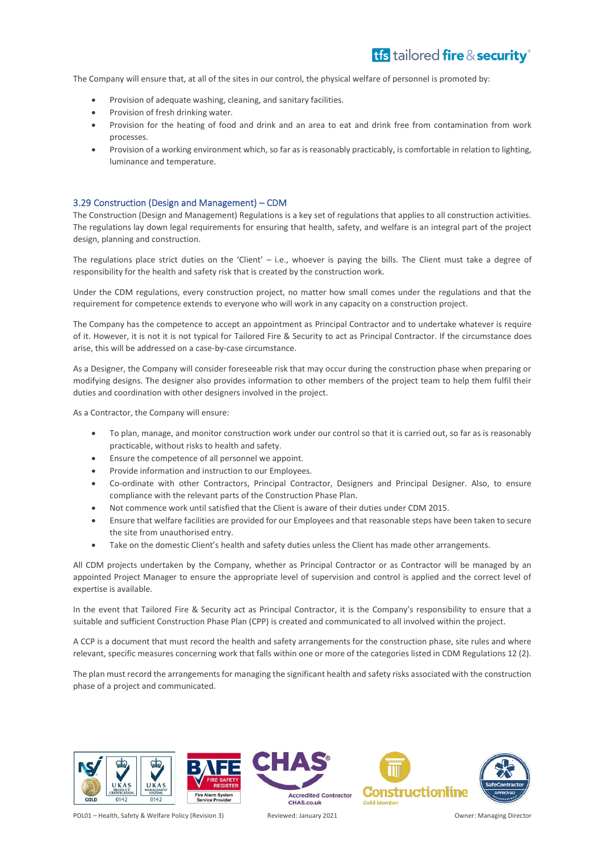The Company will ensure that, at all of the sites in our control, the physical welfare of personnel is promoted by:

- Provision of adequate washing, cleaning, and sanitary facilities.
- Provision of fresh drinking water.
- Provision for the heating of food and drink and an area to eat and drink free from contamination from work processes.
- Provision of a working environment which, so far as is reasonably practicably, is comfortable in relation to lighting, luminance and temperature.

#### <span id="page-28-0"></span>3.29 Construction (Design and Management) – CDM

The Construction (Design and Management) Regulations is a key set of regulations that applies to all construction activities. The regulations lay down legal requirements for ensuring that health, safety, and welfare is an integral part of the project design, planning and construction.

The regulations place strict duties on the 'Client' – i.e., whoever is paying the bills. The Client must take a degree of responsibility for the health and safety risk that is created by the construction work.

Under the CDM regulations, every construction project, no matter how small comes under the regulations and that the requirement for competence extends to everyone who will work in any capacity on a construction project.

The Company has the competence to accept an appointment as Principal Contractor and to undertake whatever is require of it. However, it is not it is not typical for Tailored Fire & Security to act as Principal Contractor. If the circumstance does arise, this will be addressed on a case-by-case circumstance.

As a Designer, the Company will consider foreseeable risk that may occur during the construction phase when preparing or modifying designs. The designer also provides information to other members of the project team to help them fulfil their duties and coordination with other designers involved in the project.

As a Contractor, the Company will ensure:

- To plan, manage, and monitor construction work under our control so that it is carried out, so far as is reasonably practicable, without risks to health and safety.
- Ensure the competence of all personnel we appoint.
- Provide information and instruction to our Employees.
- Co-ordinate with other Contractors, Principal Contractor, Designers and Principal Designer. Also, to ensure compliance with the relevant parts of the Construction Phase Plan.
- Not commence work until satisfied that the Client is aware of their duties under CDM 2015.
- Ensure that welfare facilities are provided for our Employees and that reasonable steps have been taken to secure the site from unauthorised entry.
- Take on the domestic Client's health and safety duties unless the Client has made other arrangements.

All CDM projects undertaken by the Company, whether as Principal Contractor or as Contractor will be managed by an appointed Project Manager to ensure the appropriate level of supervision and control is applied and the correct level of expertise is available.

In the event that Tailored Fire & Security act as Principal Contractor, it is the Company's responsibility to ensure that a suitable and sufficient Construction Phase Plan (CPP) is created and communicated to all involved within the project.

A CCP is a document that must record the health and safety arrangements for the construction phase, site rules and where relevant, specific measures concerning work that falls within one or more of the categories listed in CDM Regulations 12 (2).

The plan must record the arrangements for managing the significant health and safety risks associated with the construction phase of a project and communicated.



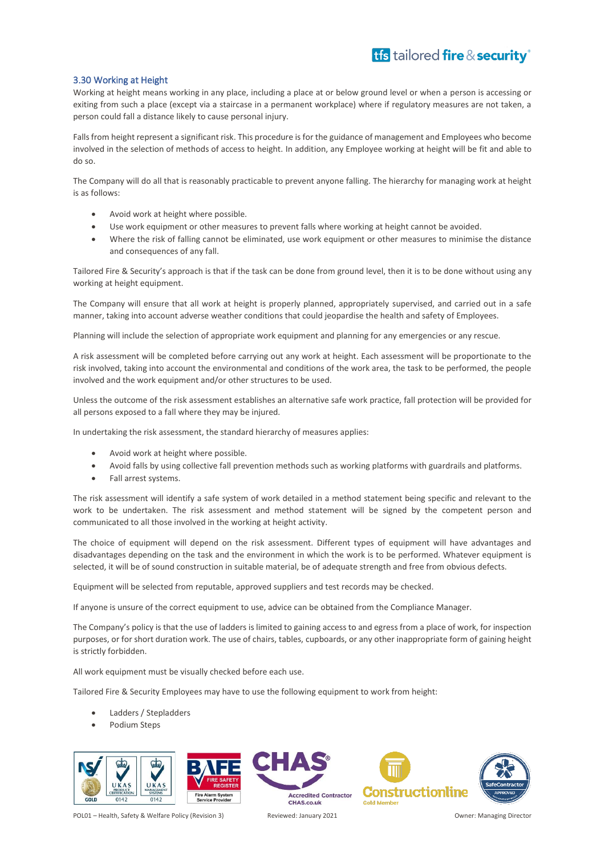### <span id="page-29-0"></span>3.30 Working at Height

Working at height means working in any place, including a place at or below ground level or when a person is accessing or exiting from such a place (except via a staircase in a permanent workplace) where if regulatory measures are not taken, a person could fall a distance likely to cause personal injury.

Falls from height represent a significant risk. This procedure is for the guidance of management and Employees who become involved in the selection of methods of access to height. In addition, any Employee working at height will be fit and able to do so.

The Company will do all that is reasonably practicable to prevent anyone falling. The hierarchy for managing work at height is as follows:

- Avoid work at height where possible.
- Use work equipment or other measures to prevent falls where working at height cannot be avoided.
- Where the risk of falling cannot be eliminated, use work equipment or other measures to minimise the distance and consequences of any fall.

Tailored Fire & Security's approach is that if the task can be done from ground level, then it is to be done without using any working at height equipment.

The Company will ensure that all work at height is properly planned, appropriately supervised, and carried out in a safe manner, taking into account adverse weather conditions that could jeopardise the health and safety of Employees.

Planning will include the selection of appropriate work equipment and planning for any emergencies or any rescue.

A risk assessment will be completed before carrying out any work at height. Each assessment will be proportionate to the risk involved, taking into account the environmental and conditions of the work area, the task to be performed, the people involved and the work equipment and/or other structures to be used.

Unless the outcome of the risk assessment establishes an alternative safe work practice, fall protection will be provided for all persons exposed to a fall where they may be injured.

In undertaking the risk assessment, the standard hierarchy of measures applies:

- Avoid work at height where possible.
- Avoid falls by using collective fall prevention methods such as working platforms with guardrails and platforms.
- Fall arrest systems.

The risk assessment will identify a safe system of work detailed in a method statement being specific and relevant to the work to be undertaken. The risk assessment and method statement will be signed by the competent person and communicated to all those involved in the working at height activity.

The choice of equipment will depend on the risk assessment. Different types of equipment will have advantages and disadvantages depending on the task and the environment in which the work is to be performed. Whatever equipment is selected, it will be of sound construction in suitable material, be of adequate strength and free from obvious defects.

Equipment will be selected from reputable, approved suppliers and test records may be checked.

If anyone is unsure of the correct equipment to use, advice can be obtained from the Compliance Manager.

The Company's policy is that the use of ladders is limited to gaining access to and egress from a place of work, for inspection purposes, or for short duration work. The use of chairs, tables, cupboards, or any other inappropriate form of gaining height is strictly forbidden.

All work equipment must be visually checked before each use.

Tailored Fire & Security Employees may have to use the following equipment to work from height:

- Ladders / Stepladders
- Podium Steps



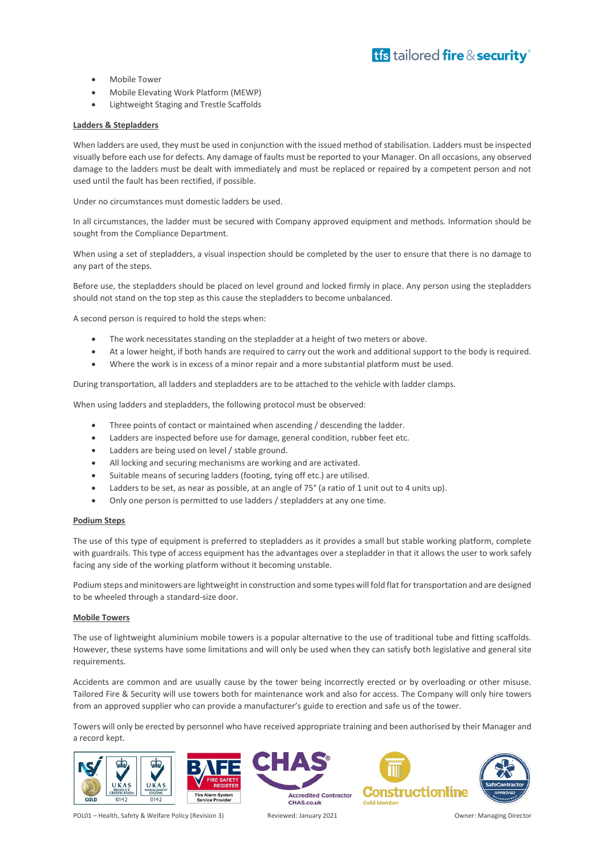- Mobile Tower
- Mobile Elevating Work Platform (MEWP)
- Lightweight Staging and Trestle Scaffolds

#### **Ladders & Stepladders**

When ladders are used, they must be used in conjunction with the issued method of stabilisation. Ladders must be inspected visually before each use for defects. Any damage of faults must be reported to your Manager. On all occasions, any observed damage to the ladders must be dealt with immediately and must be replaced or repaired by a competent person and not used until the fault has been rectified, if possible.

Under no circumstances must domestic ladders be used.

In all circumstances, the ladder must be secured with Company approved equipment and methods. Information should be sought from the Compliance Department.

When using a set of stepladders, a visual inspection should be completed by the user to ensure that there is no damage to any part of the steps.

Before use, the stepladders should be placed on level ground and locked firmly in place. Any person using the stepladders should not stand on the top step as this cause the stepladders to become unbalanced.

A second person is required to hold the steps when:

- The work necessitates standing on the stepladder at a height of two meters or above.
- At a lower height, if both hands are required to carry out the work and additional support to the body is required.
- Where the work is in excess of a minor repair and a more substantial platform must be used.

During transportation, all ladders and stepladders are to be attached to the vehicle with ladder clamps.

When using ladders and stepladders, the following protocol must be observed:

- Three points of contact or maintained when ascending / descending the ladder.
- Ladders are inspected before use for damage, general condition, rubber feet etc.
- Ladders are being used on level / stable ground.
- All locking and securing mechanisms are working and are activated.
- Suitable means of securing ladders (footing, tying off etc.) are utilised.
- Ladders to be set, as near as possible, at an angle of 75° (a ratio of 1 unit out to 4 units up).
- Only one person is permitted to use ladders / stepladders at any one time.

#### **Podium Steps**

The use of this type of equipment is preferred to stepladders as it provides a small but stable working platform, complete with guardrails. This type of access equipment has the advantages over a stepladder in that it allows the user to work safely facing any side of the working platform without it becoming unstable.

Podium steps and minitowers are lightweight in construction and some types will fold flat for transportation and are designed to be wheeled through a standard-size door.

#### **Mobile Towers**

The use of lightweight aluminium mobile towers is a popular alternative to the use of traditional tube and fitting scaffolds. However, these systems have some limitations and will only be used when they can satisfy both legislative and general site requirements.

Accidents are common and are usually cause by the tower being incorrectly erected or by overloading or other misuse. Tailored Fire & Security will use towers both for maintenance work and also for access. The Company will only hire towers from an approved supplier who can provide a manufacturer's guide to erection and safe us of the tower.

Towers will only be erected by personnel who have received appropriate training and been authorised by their Manager and a record kept.





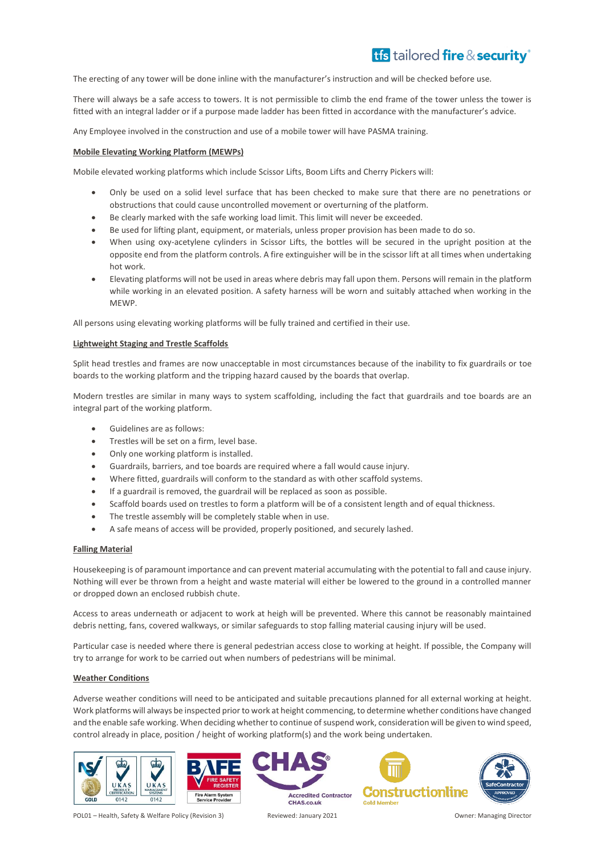The erecting of any tower will be done inline with the manufacturer's instruction and will be checked before use.

There will always be a safe access to towers. It is not permissible to climb the end frame of the tower unless the tower is fitted with an integral ladder or if a purpose made ladder has been fitted in accordance with the manufacturer's advice.

Any Employee involved in the construction and use of a mobile tower will have PASMA training.

#### **Mobile Elevating Working Platform (MEWPs)**

Mobile elevated working platforms which include Scissor Lifts, Boom Lifts and Cherry Pickers will:

- Only be used on a solid level surface that has been checked to make sure that there are no penetrations or obstructions that could cause uncontrolled movement or overturning of the platform.
- Be clearly marked with the safe working load limit. This limit will never be exceeded.
- Be used for lifting plant, equipment, or materials, unless proper provision has been made to do so.
- When using oxy-acetylene cylinders in Scissor Lifts, the bottles will be secured in the upright position at the opposite end from the platform controls. A fire extinguisher will be in the scissor lift at all times when undertaking hot work.
- Elevating platforms will not be used in areas where debris may fall upon them. Persons will remain in the platform while working in an elevated position. A safety harness will be worn and suitably attached when working in the MEWP.

All persons using elevating working platforms will be fully trained and certified in their use.

#### **Lightweight Staging and Trestle Scaffolds**

Split head trestles and frames are now unacceptable in most circumstances because of the inability to fix guardrails or toe boards to the working platform and the tripping hazard caused by the boards that overlap.

Modern trestles are similar in many ways to system scaffolding, including the fact that guardrails and toe boards are an integral part of the working platform.

- Guidelines are as follows:
- Trestles will be set on a firm, level base.
- Only one working platform is installed.
- Guardrails, barriers, and toe boards are required where a fall would cause injury.
- Where fitted, guardrails will conform to the standard as with other scaffold systems.
- If a guardrail is removed, the guardrail will be replaced as soon as possible.
- Scaffold boards used on trestles to form a platform will be of a consistent length and of equal thickness.
- The trestle assembly will be completely stable when in use.
- A safe means of access will be provided, properly positioned, and securely lashed.

### **Falling Material**

Housekeeping is of paramount importance and can prevent material accumulating with the potential to fall and cause injury. Nothing will ever be thrown from a height and waste material will either be lowered to the ground in a controlled manner or dropped down an enclosed rubbish chute.

Access to areas underneath or adjacent to work at heigh will be prevented. Where this cannot be reasonably maintained debris netting, fans, covered walkways, or similar safeguards to stop falling material causing injury will be used.

Particular case is needed where there is general pedestrian access close to working at height. If possible, the Company will try to arrange for work to be carried out when numbers of pedestrians will be minimal.

#### **Weather Conditions**

Adverse weather conditions will need to be anticipated and suitable precautions planned for all external working at height. Work platforms will always be inspected prior to work at height commencing, to determine whether conditions have changed and the enable safe working. When deciding whether to continue of suspend work, consideration will be given to wind speed, control already in place, position / height of working platform(s) and the work being undertaken.







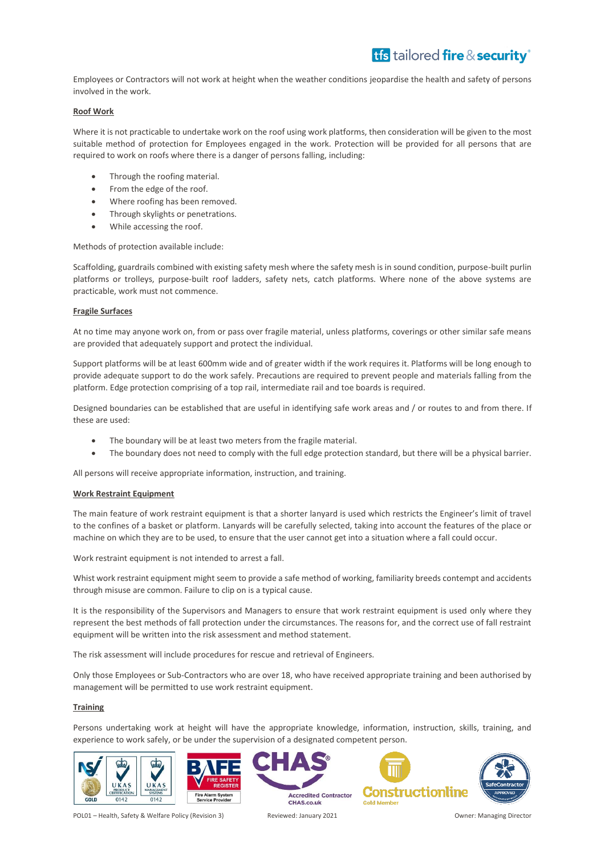Employees or Contractors will not work at height when the weather conditions jeopardise the health and safety of persons involved in the work.

### **Roof Work**

Where it is not practicable to undertake work on the roof using work platforms, then consideration will be given to the most suitable method of protection for Employees engaged in the work. Protection will be provided for all persons that are required to work on roofs where there is a danger of persons falling, including:

- Through the roofing material.
- From the edge of the roof.
- Where roofing has been removed.
- Through skylights or penetrations.
- While accessing the roof.

Methods of protection available include:

Scaffolding, guardrails combined with existing safety mesh where the safety mesh is in sound condition, purpose-built purlin platforms or trolleys, purpose-built roof ladders, safety nets, catch platforms. Where none of the above systems are practicable, work must not commence.

### **Fragile Surfaces**

At no time may anyone work on, from or pass over fragile material, unless platforms, coverings or other similar safe means are provided that adequately support and protect the individual.

Support platforms will be at least 600mm wide and of greater width if the work requires it. Platforms will be long enough to provide adequate support to do the work safely. Precautions are required to prevent people and materials falling from the platform. Edge protection comprising of a top rail, intermediate rail and toe boards is required.

Designed boundaries can be established that are useful in identifying safe work areas and / or routes to and from there. If these are used:

- The boundary will be at least two meters from the fragile material.
- The boundary does not need to comply with the full edge protection standard, but there will be a physical barrier.

All persons will receive appropriate information, instruction, and training.

### **Work Restraint Equipment**

The main feature of work restraint equipment is that a shorter lanyard is used which restricts the Engineer's limit of travel to the confines of a basket or platform. Lanyards will be carefully selected, taking into account the features of the place or machine on which they are to be used, to ensure that the user cannot get into a situation where a fall could occur.

Work restraint equipment is not intended to arrest a fall.

Whist work restraint equipment might seem to provide a safe method of working, familiarity breeds contempt and accidents through misuse are common. Failure to clip on is a typical cause.

It is the responsibility of the Supervisors and Managers to ensure that work restraint equipment is used only where they represent the best methods of fall protection under the circumstances. The reasons for, and the correct use of fall restraint equipment will be written into the risk assessment and method statement.

The risk assessment will include procedures for rescue and retrieval of Engineers.

Only those Employees or Sub-Contractors who are over 18, who have received appropriate training and been authorised by management will be permitted to use work restraint equipment.

### **Training**

Persons undertaking work at height will have the appropriate knowledge, information, instruction, skills, training, and experience to work safely, or be under the supervision of a designated competent person.







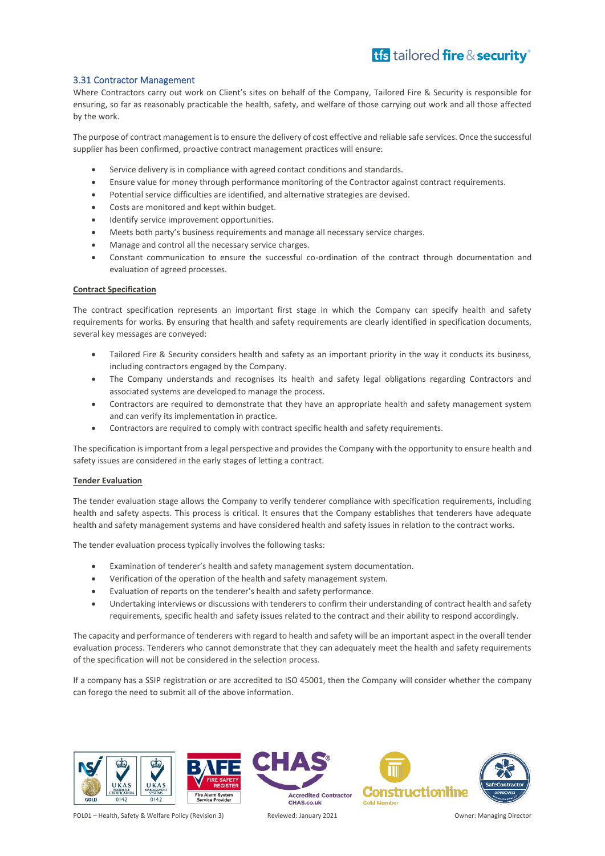### <span id="page-33-0"></span>3.31 Contractor Management

Where Contractors carry out work on Client's sites on behalf of the Company, Tailored Fire & Security is responsible for ensuring, so far as reasonably practicable the health, safety, and welfare of those carrying out work and all those affected by the work.

The purpose of contract management is to ensure the delivery of cost effective and reliable safe services. Once the successful supplier has been confirmed, proactive contract management practices will ensure:

- Service delivery is in compliance with agreed contact conditions and standards.
- Ensure value for money through performance monitoring of the Contractor against contract requirements.
- Potential service difficulties are identified, and alternative strategies are devised.
- Costs are monitored and kept within budget.
- Identify service improvement opportunities.
- Meets both party's business requirements and manage all necessary service charges.
- Manage and control all the necessary service charges.
- Constant communication to ensure the successful co-ordination of the contract through documentation and evaluation of agreed processes.

#### **Contract Specification**

The contract specification represents an important first stage in which the Company can specify health and safety requirements for works. By ensuring that health and safety requirements are clearly identified in specification documents, several key messages are conveyed:

- Tailored Fire & Security considers health and safety as an important priority in the way it conducts its business, including contractors engaged by the Company.
- The Company understands and recognises its health and safety legal obligations regarding Contractors and associated systems are developed to manage the process.
- Contractors are required to demonstrate that they have an appropriate health and safety management system and can verify its implementation in practice.
- Contractors are required to comply with contract specific health and safety requirements.

The specification is important from a legal perspective and provides the Company with the opportunity to ensure health and safety issues are considered in the early stages of letting a contract.

#### **Tender Evaluation**

The tender evaluation stage allows the Company to verify tenderer compliance with specification requirements, including health and safety aspects. This process is critical. It ensures that the Company establishes that tenderers have adequate health and safety management systems and have considered health and safety issues in relation to the contract works.

The tender evaluation process typically involves the following tasks:

- Examination of tenderer's health and safety management system documentation.
- Verification of the operation of the health and safety management system.
- Evaluation of reports on the tenderer's health and safety performance.
- Undertaking interviews or discussions with tenderers to confirm their understanding of contract health and safety requirements, specific health and safety issues related to the contract and their ability to respond accordingly.

The capacity and performance of tenderers with regard to health and safety will be an important aspect in the overall tender evaluation process. Tenderers who cannot demonstrate that they can adequately meet the health and safety requirements of the specification will not be considered in the selection process.

If a company has a SSIP registration or are accredited to ISO 45001, then the Company will consider whether the company can forego the need to submit all of the above information.



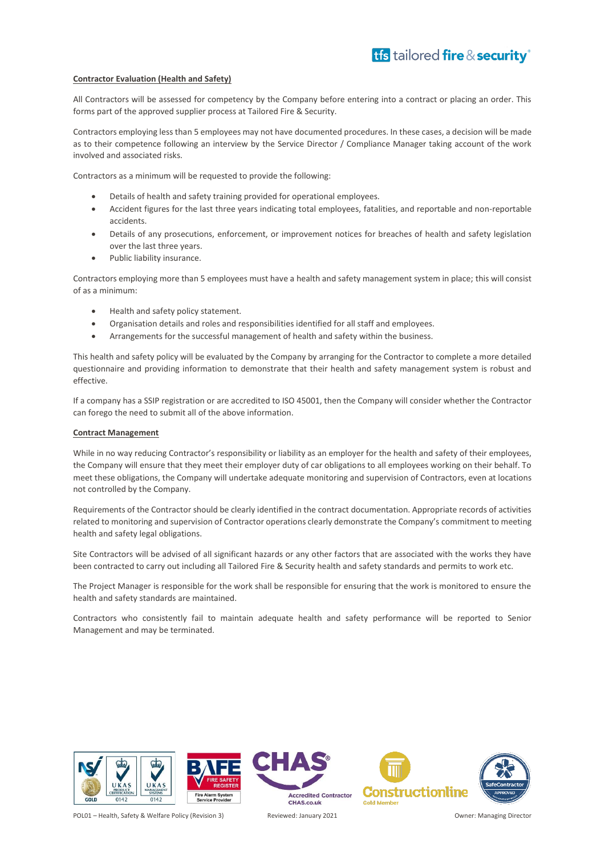#### **Contractor Evaluation (Health and Safety)**

All Contractors will be assessed for competency by the Company before entering into a contract or placing an order. This forms part of the approved supplier process at Tailored Fire & Security.

Contractors employing less than 5 employees may not have documented procedures. In these cases, a decision will be made as to their competence following an interview by the Service Director / Compliance Manager taking account of the work involved and associated risks.

Contractors as a minimum will be requested to provide the following:

- Details of health and safety training provided for operational employees.
- Accident figures for the last three years indicating total employees, fatalities, and reportable and non-reportable accidents.
- Details of any prosecutions, enforcement, or improvement notices for breaches of health and safety legislation over the last three years.
- Public liability insurance.

Contractors employing more than 5 employees must have a health and safety management system in place; this will consist of as a minimum:

- Health and safety policy statement.
- Organisation details and roles and responsibilities identified for all staff and employees.
- Arrangements for the successful management of health and safety within the business.

This health and safety policy will be evaluated by the Company by arranging for the Contractor to complete a more detailed questionnaire and providing information to demonstrate that their health and safety management system is robust and effective.

If a company has a SSIP registration or are accredited to ISO 45001, then the Company will consider whether the Contractor can forego the need to submit all of the above information.

#### **Contract Management**

While in no way reducing Contractor's responsibility or liability as an employer for the health and safety of their employees, the Company will ensure that they meet their employer duty of car obligations to all employees working on their behalf. To meet these obligations, the Company will undertake adequate monitoring and supervision of Contractors, even at locations not controlled by the Company.

Requirements of the Contractor should be clearly identified in the contract documentation. Appropriate records of activities related to monitoring and supervision of Contractor operations clearly demonstrate the Company's commitment to meeting health and safety legal obligations.

Site Contractors will be advised of all significant hazards or any other factors that are associated with the works they have been contracted to carry out including all Tailored Fire & Security health and safety standards and permits to work etc.

The Project Manager is responsible for the work shall be responsible for ensuring that the work is monitored to ensure the health and safety standards are maintained.

Contractors who consistently fail to maintain adequate health and safety performance will be reported to Senior Management and may be terminated.